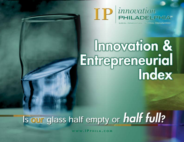

LOCAL INNOVATION... GLEERE, REALIZATION

# Innovation & Enfrepreneurial<br>Enfrepreneurial<br>Index

## Is our glass half empty or half full?

**WWW .IP PHILA . COM**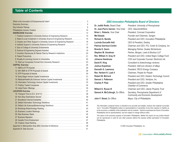#### **Table of Contents**

| What is the Innovation & Entrepreneurial Index?                            | 3  |
|----------------------------------------------------------------------------|----|
|                                                                            | 4  |
|                                                                            | 8  |
|                                                                            | 10 |
|                                                                            | 13 |
| 1: Federal Investment in University Science & Engineering Research         | 14 |
| 2: State & Local Investment in University Science & Engineering Research   | 15 |
| 3: Industry and Other Support in University Science & Engineering Research | 16 |
| 4: Institute Support in University Science & Engineering Research          | 17 |
|                                                                            | 18 |
|                                                                            | 19 |
| 7: Invention Disclosures & Patents Filed by Research Institutions          | 20 |
|                                                                            | 21 |
| 9: Royalty & Licensing Income to Universities                              | 22 |
| 10: Start-up Companies Formed from University Research                     | 23 |
|                                                                            | 25 |
|                                                                            | 26 |
|                                                                            | 28 |
|                                                                            | 30 |
|                                                                            | 31 |
| 15: Medical/Health/Life Sciences Venture Capital Investments               | 32 |
| 16: Information Technology Venture Capital Investments                     | 33 |
|                                                                            | 34 |
|                                                                            | 35 |
|                                                                            | 37 |
|                                                                            | 38 |
|                                                                            | 39 |
|                                                                            | 40 |
| 22: Skilled Information Technology Workforce                               | 41 |
| 23: Skilled Life Sciences/Biotechnology Workforce                          | 44 |
|                                                                            | 43 |
|                                                                            | 44 |
|                                                                            | 45 |
|                                                                            | 46 |
|                                                                            | 47 |
|                                                                            | 48 |
| Appendix A; Metropolitan Area (MA) Overview & Definitions                  | 49 |
|                                                                            | 51 |

#### *2002 Innovation Philadelphia Board of Directors*

**Dr. Judith Rodin**, Board Chair *President, University of Pennsylvania* **Dr. Jean-Pierre Garnier**, Vice Chair *CEO, GlaxoSmithKline* **Brian L. Roberts**, Vice Chair *President, Comcast Corporation* **Mel Baiada** *Founder and Chairman, Sengen* **Richard A. Bendis** *President and CEO, Innovation Philadelphia* **Lucinda Duncalfe Holt** *CEO & President, Destiny* **Patricia Garrison-Corbin** *Chairman and CEO, P.G. Corbin & Company, Inc.* **Brenda D. Gavin** *Managing Partner, Quaker BioVentures* **Stephen M. Goodman** *Partner, Morgan, Lewis & Bockius LLP* **Rev. William H. Gray III** *President and CEO, United Negro College Fund* **Johanna Hambrose** *COO and Corporate Counsel, Electronic Ink* **David R. King** *Consultant to biotechnology ventures* **Joshua Kopelman** *President, Half.com (division of eBay)* **Kenneth G. Lawrence** *President, PECO Energy Company* **Rev. Herbert H. Lusk II** *Chairman, People for People* **Robert M. McCord** *President and CEO, Eastern Technology Council* **Samuel J. Patterson** *President and CEO, Veridyne, Inc.* **Charles P. Pizzi** *President and CEO, Greater Philadelphia Chamber of Commerce***Willard G. Rouse III** *Chairman and CEO, Liberty Property Trust* **Samuel A. McCullough**, Ex Officio *Secretary, Pennsylvania Department of Community and Economic Development* **John F. Street,** Ex Officio *Mayor, City of Philadelphia*

*The information contained herein is intended to be accurate and reliable, however this material is provided "as is." Innovation Philadelphia makes no representations or warranties of any kind, express or implied, as to the accuracy or reliability of this publication and its contents. Opinions expressed are those of Innovation Philadelphia and its representatives, and are subject to change without notice.*

*This report is the exclusive property of Innovation Philadelphia. Neither this report nor any portion thereof can be reproduced or used for any other purpose without the express written permission of Innovation Philadelphia.*

© 2002 Innovation Philadelphia, Inc.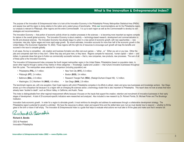#### **What is the Innovation & Entrepreneurial Index?**

The purpose of the Innovation & Entrepreneurial Index is to look at the Innovation Economy in the Philadelphia Primary Metropolitan Statistical Area (PMSA) and assess how well the region is doing relative to the nation and a select group of benchmarks. While *our* recommendations are for the Philadelphia region, our analysis is relevant to Pittsburgh, other regions and the entire Commonwealth. It is up to each region as well as the Commonwealth to develop its own strategies and recommendations.

The Innovation Economy — that portion of economic activity driven by creation processes in the sciences — is becoming more important as regions compete for stature in the overall global economy. The Innovation Economy is about creativity — technology-based research, development and commercialization in the life and physical sciences. The Innovation Economy has already begun to usher in a new period of economic growth, with new opportunities — new companies, new jobs, higher wages and more rapid wage growth. By recent estimates, innovation accounts for more than half of the economic growth in the United States (*The Economist;* September 19, 2002). Those regions with the right mix of resources to encourage such growth will reap the benefits and succeed in the race to compete globally.

In all cases, the key is competition. Job creation and business formation are often zero-sum games — "either...or." Either you win or you lose. Either the jobs and companies start here or they don't. Either they stay and grow here, or they leave. Regions compete for resources, human capital — talent — and dollars, to generate ideas that grow to fruition as commercially successful ventures — that is, new companies, new products, new processes. The sum of all of these parts is the Innovation Economy.

The Innovation & Entrepreneurial Index compares the fourth largest metropolitan region in the United States, Philadelphia (based on population data), to seven other regions through a series of key metrics in three categories — Knowledge, Capital and Location — that nurture innovative businesses throughout their life cycles. The metropolitan areas selected for comparison (including population) are:

• New York City (NYC), 9.3 million;

- Philadelphia (PHL), 5.1 million;
- 
- Baltimore (BAL), 2.6 million;
- Pittsburgh (**PIT**), 2.4 million; Boston (**BOS**), 3.4 million;
	- Research Triangle Park (RDU), (Raleigh-Durham-Chapel Hill), 1.2 million;
- Washington, D.C./Northern VA (**WAS**), 4.9 million; San Diego (**SAN**), 2.8 million.

The benchmark regions are, with one exception, East Coast regions with which Philadelphia competes in its efforts to attract, retain and grow new businesses and knowledge workers. San Diego shows up in the comparison list because it is a region with an emerging life sciences sector, a technology cluster that is also important to Philadelphia. This report does not look at areas that have already been "studied to death", such as Silicon Valley, in California, and Austin, Texas.

This Index is distinguishable from other regional measurement efforts because it focuses on the inputs that support the creation, retention and recruitment of innovative businesses in their early stages of development. A total of 29 scorecard-specific indicators were researched and analyzed. Also included is new research by Dr. Richard Florida, Dr. Michael Porter and The Brookings Institution.

Innovation fuels economic growth. In order for a region to stimulate growth, it must reinforce its strengths and address its weaknesses through a collaborative development strategy. The Philadelphia region's potential for growth is unlimited. We have the resources to attract, retain and expand firms and the skilled labor pool, but we must decide how to respond — whether to fill the glass to the brim or leave it half empty. The Innovation & Entrepreneurial Index is a guide that helps to evaluate what actions we must take to fill the glass and make sure that it remains full.

ucloud a Benshir

**Richard A. Bendis**

CEO & PresidentInnovation Philadelphia

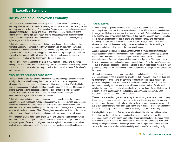#### **The Philadelphia Innovation Economy**

The Innovation Economy includes technology-based industrial sectors that contain young, new companies, as well as some of the fastest-growing companies — indeed, many upstarts are both young and fast growing. The Innovation Economy also includes the research and education infrastructure — dollars and talent — that are necessary ingredients for the creative process. In the right combination and the correct proportions, such ingredients create a vibrant and dynamic blend of new economic activity — new companies, new jobs, higher wages, and faster wage growth.

Philadelphia has a rich mix of raw materials that are vital in order to compete globally in the Innovation Economy. They cannot be thrown together in an arbitrary fashion with the expectation that economic success is a given outcome, any more than one can take raw ingredients like butter, flour, milk and eggs and toss those into a pan haphazardly with the expectation that a great soufflé will occur. Order, direction and supervision are also prerequisites — in other words, "leadership". So, too, is good luck.

This report does more than assess the state of raw materials — inputs and outcomes relating to the Philadelphia Innovation Economy. It makes recommendations relating to each indicator, and it includes a set of next steps or action items that will enhance Philadelphia's ability to compete.

#### *Where does the Philadelphia region stand?*

The major finding of this report is that Philadelphia has a realistic opportunity to compete globally in the Innovation Economy, but more must be done to create competitive advantages for economic success in high-growth, high-wage industries. Philadelphia has many of the necessary ingredients, but often the right proportion is lacking. More must be done to leverage existing resources and to support and enhance existing technology clusters. Philadelphia is in the race, but victory is not yet certain. The region's entrepreneurial image and climate must be improved.

Philadelphia has a sufficient number of technology-based industries but they require nourishment. More investment must be forthcoming from the local business and academic community, as well as the public sector, and more collaborative initiatives need to be undertaken to attract more outside capital to the region and to leverage existing resources — technical, capital and human. More of the region's universities must step to the plate and make better use of faculty, staff and students in order to gain a competitive advantage.

A good example of what can be done shows up in North Carolina, in the Raleigh-Durham area. Through a mix of cooperation, use of federal research investment programs and the active participation of state and local government, the region has expanded industrial and academic research investment within the academic community — a notable achievement.

#### *What is needed?*

In order to compete globally, Philadelphia's Innovation Economy must include a set of technology-based industries that have critical mass. It is as difficult to attract new industries to a region as it is to grow a new industrial base from scratch. Existing industries, however, provide ready-made infrastructure that includes skilled workers, research facilities, expertise and a network of identified sources of capital and suppliers (for raw and intermediate materials) – in other words, complete industrial clusters. Thus, a diverse set of industrial clusters with a record of success locally, provides a good starting point for building and enhancing global competitiveness in the Innovation Economy.

Another necessary ingredient for global competitiveness is strong research infrastructure that is capable of generating new ideas and nurturing them through the earliest stages of development. Philadelphia possesses corporate headquarters, research facilities and academic research facilities that generate large numbers of patents. The region does not, however, possess a major national or federal research facility. All of the region's resources — public, private and academic — should be utilized to obtain more federal research money, preferably through the attraction of such a permanent nationally recognized federal research laboratory.

Corporate direction can change as a result of global market conditions. Philadelphia's academic community has to leverage the investment that it receives — and must do its best to receive more — by engaging the corporate community in collaborative initiatives to generate and spin out ideas and patents that lead to commercial success. In turn, the corporate community must become a more willing and involved partner. To date, local collaborative entrepreneurial activity has not achieved all that it can. Several federal award programs exist to assist in early-stage feasibility and commercialization work. Local researchers have not used them to the full extent.

Venture capital is another ingredient necessary for encouraging entrepreneurs and nurturing ideas through to commercialization. Venture capital investments help keep the innovation pipeline flowing. Investment dollars have to be available for many technology sectors, not just a few, and investments must come at all stages and in all sizes. Philadelphia continues to face a "capital gap" for early investments in the \$500,000 to \$1.5 million range.

Philadelphia has a good mix of skilled technical workers in life sciences and information technology, but the supply has to be continually replenished and workers must be encouraged to remain when larger, more mature employers restructure. The region needs to expand its efforts to change the "brain drain" to "brain gain" and to create a world-class lifelong learning environment for knowledge workers and entrepreneurs. Where possible, some of the risks associated with start-up activity need to be offset by creating the right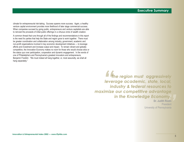climate for entrepreneurial risk-taking. Success spawns more success. Again, a healthy venture capital environment provides more likelihood of later stage commercial success. When companies succeed by going public, entrepreneurs and venture capitalists are able to reinvest the proceeds of initial public offerings in a virtuous circle of wealth creation.

A common thread that runs through all of the findings and recommendations in this report is the need for parties that help the State and region grow to work together. There must be greater coordination and collaboration among industry, government, academic and non-profit organizations involved in key economic development initiatives — to leverage efforts and investment and increase output and impact. To remain vibrant and globally competitive, the Innovation Economy makes no room for those who would choose silos or the status quo over participation, cooperation and dynamic engagement. In the words of one of Philadelphia's and Pennsylvania's greatest innovators and entrepreneurs, Benjamin Franklin: "We must indeed all hang together, or, most assuredly, we shall all hang separately."

> *"***"**<br>"<br>"<br>" *The region must aggressively leverage academic, state, local, industry & federal resources to maximize our competitive advantage in the Knowledge Economy.*

**Dr. Judith Rodin**PresidentUniversity of Pennsylvania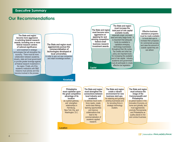#### **Executive Summary**

#### **Our Recommendations**

**The State and region become more aggressive in soliciting federal research awards, including one or more federal research centers of national significance** and investment in strategic technologies that will strengthen the economy. There must be more collaboration between academia, industry, state and local government to provide greater leverage against all federal research investment in the region. Finally, all of the academic institutions with R&D missions must actively and fully become involved in the process.

**The State and region must aggressively pursue the commercialization of technologies developed at local universities**, in order to spin out new companies and retain knowledge workers.

**The State and region must become more aggressive at applying for and winning competitive federal small business research investment awards.**

**Capital**

**available locally**, especially angel, pre-seed, seed and early stage funds. It is important that adequate funds be available to capitalize emerging technology businesses throughout their life cycles. Tax credits and other tax policy are important tools for increasing the available pool of risk capital. Industry, academia and government must all participate to create effective tax legislation.

**The State and region must increase the total pool of risk capital** 

**Effective business assistance programs must be made available**to local start-ups to increase their prospects for commercial success and raise the amount of outside capital they are can attract.



**Location**

**Knowledge**

.................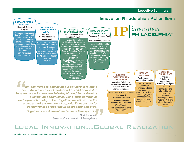**Innovation Philadelphia's Action Items**



Governor, Commonwealth of Pennsyslvania

## LOCAL INNOVATION...GLOBAL REALIZATION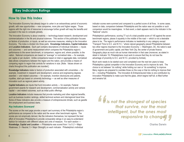#### **How to Use this Index**

The Innovation Economy has already begun to usher in an extraordinary period of economic growth, with new opportunities — new companies, more jobs and higher wages. Those regions with the right mix of resources to encourage further growth will reap the benefits and succeed in the race to compete globally.

The Innovation Economy is about creativity — technology-based research, development and commercialization in the life and physical sciences. This section of the publication focuses on factors of production, or inputs, as well as outcomes measures, relating to the Innovation Economy. The index is divided into three parts: **Knowledge Indicators, Capital Indicators** and **Location Indicators**. Each part contains descriptions of individual indicators — inputs and outcomes — and some measurement which compares the Philadelphia region's performance to the seven benchmark, or comparison, regions and, where possible, to the nation. National comparisons are based on "average" or normalized data — for example, per capita or per student. Unlike comparisons based on total or aggregate data, normalized data allows comparisons between the region and the nation, and provides a means of comparing region to region that controls for variations in size. [Note: Values shown on charts throughout this publication are rounded.]

**Knowledge Indicators** relate to factors of production associated with universities — for example, investment in research and development, science and engineering degrees awarded — and related outcomes — for example, invention disclosures and patents, royalties, start-ups based on university technology — as well as other measures of innovation such as regional patent activity.

**Capital Indicators** are inputs that fund innovation activity — for example, Federal government awards for research and development, commercialization activity and venture capital — and related outcomes, such as initial public offerings.

**Location Indicators** include measures that provide marketing and other regional benefits, such as business location rankings, skilled technical workers and interregional travel time. Some of these indicators also provide a measure of entrepreneurial climate, such as gazelle firm employment and business starts.

#### *Key Indicators Scorecard*

The scores on the next page provide a report card summary of the Philadelphia region's performance as compared to the nation and the seven other benchmark regions. The scores are not empirically derived, like the indicators themselves, but represent the best effort of Innovation Philadelphia to provide comparable ratings in an easy-to-understand fashion for indicators with different values and units of measure. For each section —**Knowledge, Capital and Location — Philadelphia was scored from 1 to 5 (1 = Major** Weakness; 3 = Neutral; 5 = Major Strength) on each indicator. Philadelphia's individual

indicator scores were summed and compared to a perfect score of all fives. In some cases, based on data, comparison between Philadelphia and the nation was not possible or such comparison would be meaningless. In that event, a dash appears next to the indicator in the "National" column.

Philadelphia's performance, scoring 77 out of a total possible score of 145 against the seven benchmark regions, places it squarely in the middle of the road — which is not a desirable place to be. The region's performance indicates no leadership in any category except "Transport Time to D.C. and N.Y.C.," where natural geography placed Philadelphia between two other regions important to the Innovation Economy — Washington, DC, the nation's seat of government and public capital, and New York City, the center of private finance. Geography plays as much role as human intervention in that case (moreover, as stated in detail in Indicator 19, Philadelphians must work to ensure that they do not lose the advantage of proximity to D.C. and N.Y.C. provided by Amtrak).

Much work needs to be started soon and completed over the next ten years to keep Philadelphia a global competitor in the Innovation Economy and to improve its rank. The choice is not between "do nothing" while holding our own or "do something" to improve. Many regions are prepared to overtake those on the cusp or that do nothing to improve their lot — including Philadelphia. The Innovation & Entrepreneurial Index is one contribution by Innovation Philadelphia to make sure that the glass, which begins half full, is filled further and remains full.

*f It* is not the strongest of species *that survive, nor the most*  st<br>st<br>**打** *intelligent, but the ones most responsive to change.*

**Charles Darwin**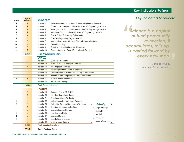*Regional*

**KNOWLEDGE** 

*National Benchmark*

1 2

1 2

1 2

1 2

3 4

#### **Key Indicators Ratings**

#### **Key Indicators Scorecard**

*"Science is a capital* <sup>0,</sup><br>"<br>?" *or fund perpetually reinvested; it accumulates, rolls up, is carried forward by every new man.*

> **John Burroughs** American Author, Naturalist

4 3 Indicator 6: Science & Engineering Degrees Awarded — 3 Indicator 7: Invention Disclosures & Patents Filed by Research Institutions — 4 Indicator 8: Patent Productivity 3 Indicator 9: Royalty and Licensing Income to Universities — 2 Indicator 10: Start-up Companies Formed from University Research **27/50 Total: Knowledge Indicators CAPITAL** 2 Indicator 11: SBIR & STTR Awards 2 Indicator 12: NIH SBIR & STTR Proposals & Awards — 1 Indicator 13: ATP Proposals & Awards — 2 Indicator 14: Early-Stage Venture Capital Investments — 2 Indicator 15: Medical/Health/Life Science Venture Capital Investments — 2 Indicator 16: Information Technology Venture Capital Investments 4 3 Indicator 17: Publicly Traded Companies — $\overline{2}$  Indicator 18: Initial Public Offerings **16/40 Total: Capital Indicators LOCATION** 5Indicator 19: Transport Time to DC & NYC — 4 Indicator 20: Non-Stop Destinations Served — 3 Indicator 21: Broadband Internet Availability 3 3 Indicator 22: Skilled Information Technology Workforce 3 3 Indicator 23: Skilled Life Sciences/Biotechnology Workforce — 4 Indicator 24: Brookings Biotechnology Rankings — 2 Indicator 25: Business Location Rankings 2 2 Indicator 26: New Business Starts 1 2 Indicator 27: Business Migration 3 3 Indicator 28: Gazelle Firms Employment — 3 Indicator 29: Creative Class Ranking **34/55 Total: Location Indicators***Rating Key:* 5 Major Strength 4 Strength 3 Neutral 2 Weakness1 Major Weakness

2 Indicator 1: Federal Investment in University Science & Engineering Research

2 Indicator 4: Institutional Support in University Science & Engineering Research

Indicator 5: Size of College & University Endowments

2 Indicator 3: Industry & Other Support in University Science & Engineering Research

Indicator 2: State & Local Investment in University Science & Engineering Research

**77/145 Overall Regional Rating** 

9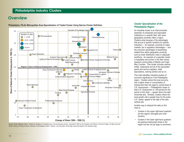#### **Philadelphia Industry Clusters**

#### **Overview**



**Philadelphia, PA-NJ Metropolitan Area Specialization of Traded Cluster Using Narrow Cluster Definition**

Source: Cluster Mapping Project, Institute for Strategy & Competitiveness, Harvard Business School. Copyright © 2002 by the President and Fellows of Harvard College. All rights reserved. *NOTE: Fishing & Fishing Products, Education & Knowledge Creation, Tobacco, and Information Technology values fall outside of the depicted range.*

#### *Cluster Specialization of the Philadelphia Region*

An industrial cluster is an interconnectedassembly of companies and associated institutions in a specific field, with close geographic proximity within a region. Clusters arise because of the advantages that accrue to specific locations for specific industries — for example, proximity to major markets, tax or regulatory advantages — and the economic advantages of assembling related firms within geographic proximity, such as lower distribution costs or adequate workforce. An example of a specialty cluster is hospitality and tourism in the New Jersey seashore communities of Atlantic and Cape May Counties. That cluster includes casinos, hotels, restaurants and all of the associated goods and service suppliers, trade associations, training centers and so on.

This chart identifies industrial clusters ofeconomic significance in the Philadelphia region. Clusters where the local economy has a higher share or concentration of employment than the region's overall share of U.S. employment — Philadelphia's share of total U.S. employment is 1.96 percent for the period on the chart — appear above the dark horizontal axis. Similarly, clusters where the local growth rate is greater than for the entire U.S. cluster, appear to the right of the dark vertical axis.

Another way to interpret the data on this chart is:

- Clusters in the upper right-hand quadrant are the region's strongest and most dynamic;
- Clusters in the lower right-hand quadrant are gaining employment share in the region but are not yet large or prominent;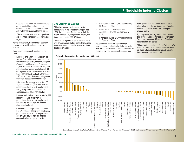#### **Philadelphia Industry Clusters**

- • Clusters in the upper left-hand quadrant are strong but losing share — this quadrant typically contains clusters that are traditionally important to the region;
- Clusters in the lower left-hand quadrant are of limited competitiveness within the region.

As the chart shows, Philadelphia's economy is a mixture of traditional and innovativeclusters.

To give examples in each quadrant of the chart:

- Education and Knowledge Creation, as well as Financial Services, are both local industry clusters of 50,000 to 99,999 jobs (Education and Knowledge Creation = 83,748; Financial Services = 91,369), with more than their proportional share of U.S. employment (each has between 3.25 and 3.5 percent of the U.S. total, rather than 1.96 percent), and that are growing faster than their respective national clusters;
- Information Technology is a cluster of 0 to 24,999 jobs (13,702), with less than its proportional share of U.S. employment and growing faster than the national communications equipment cluster;
- • Pharmaceuticals is a cluster of 0 to 24,999 iobs (7.574), with more than its proportional share of U.S. employment and growing slower than the national pharmaceutical cluster;
- • Communications Equipment is a cluster of 0 to 24,999 jobs (6,533), with less than its proportional share of U.S. employment and growing slower than the national communications equipment cluster.

#### *Job Creation by Clusters*

This chart shows the change in cluster employment in the Philadelphia region from 1990 through 1999. During that period, the region created 114,773 jobs and lost 80,909 jobs — a net gain of 33,824 jobs.

Three of the region's larger clusters — each with greater concentration locally than across the nation — accounted for two-thirds of thetotal jobs created:

#### **Philadelphia Job Creation by Cluster 1990-1999**

- Business Services (33,710 jobs created; 29.4 percent of total);
- Education and Knowledge Creation (23,222 jobs created; 20.2 percent of total);
- • Financial Services (24,777 jobs created; 21.6 percent of total).

Education and Financial Services bothexhibited growth rates locally that were faster than for the corresponding national clusters, as illustrated by their position in the upper-righthand quadrant of the Cluster Specialization chart, shown on the previous page. Together they accounted for almost half of the jobs created locally.

By comparison, two high-technology clusters that grew — Medical Devices and Information Technology — added 12 percent of the jobs gained during the period.

This view of the region confirms Philadelphia's continued reliance on traditional clusters evenas those relating to the Innovation Economy become more prominent locally.

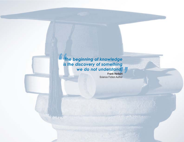#### *"The beginning of knowledge* e<br>g<br>**.**<br>, , , *is the discovery of something we do not understand.*

**Frank Herbert** Science Fiction Author

*together, or, most assuredly,* 

**Benjamin Franklin** Innovator & Entrepreneur

University of Pennsylvania, Founder

*we shall all hang separately ...*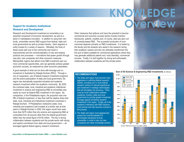## **KNOWLEDGE Overview**

#### *Support for Academic Institutional Research and Development*

Research and Development investment at universities is an essential component of economic development, as well as a factor in marketplace innovation. In addition to using their own funds, universities receive R&D support from federal, state and local governments as well as private industry. Each segment or entity invests for a variety of reasons. Ultimately, the fruits of these inputs spill over to the community and result in improvements and the commercialization of new and existing products and processes — innovations that spawn growth through new jobs, new companies and other economic measures. Metropolitan regions that attract more R&D investment spin out more commercial opportunities, and can generally achieve greater economic success, as measured by other economic parameters.

A good example of what can be done with leverage and coinvestment is illustrated by Raleigh-Durham (RDU). Through a mix of cooperation, use of federal research investment programs and the active participation of state and local government, the region has dramatically expanded industrial and academic research investment within the academic community. By 2000, the combined state, local, industrial and academic institutional investment in science and engineering R&D at universities was nearly as much as federal R&D investment in the region. By comparison, in the Philadelphia region, the proportion was onefifth of federal investment, or less than half the relative share that state, local, industrial and institutional investment comprised in Raleigh-Durham. If Philadelphia's institutions (state, local, industrial and academic) had invested at a similar rate as their peers in Raleigh-Durham in 2000, this region would have seen more than \$270 million flow into science and engineering R&D at universities from all sources other than the federal government, rather than the actual figure of \$126 million. The key is strong collaboration between academia and the private sector with strong and explicit commitment from state and local government — all leveraged against federal agency research investment.

Other measures that spillover and have the potential to become commercial and economic success stories include invention disclosures, patents, royalties and, of course, start-ups spun out of university-based R&D. The successful production of such outcomes depends primarily on R&D investments. It is fueled by the faculty and the students who assist in the research during their academic careers and who are ultimately transformed into the pool of talent available for commercial applications where they may generate additional patents and, most desirably, commercial success. Finally, it is tied together by strong and enthusiastic collaboration between academia and the private sector.



#### *RECOMMENDATIONS*

1. The State and region must become more aggressive in soliciting federal research awards, including one or more federal research centers of national significance and investment in strategic technologies that will strengthen the economy. There must be more collaboration between academia, industry, state and local government to provide greater investment leverage against all federal research investment in the region. Finally, all of the academic institutions with R&D missionsmust actively and fully become involved in the process.

2. The State and region must aggressively pursue the commercialization of technologies developed at local universities, in order to spin out new companies and retain knowledge workers.

#### **Sum of All Science & Engineering R&D Investments** *(\$ millions)*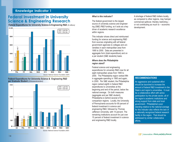**Federal Expenditures for University Science & Engineering R&D** *(\$ millions)*



#### **Federal Expenditures for University Science & Engineering R&D per Graduate Student** *(\$ thousands/student)*



#### *What is this indicator?*

The federal government is the largest source of university science and engineering (S&E) R&D funding, so it acts as a key driver of academic research excellencewithin regions.

This indicator shows direct and reimbursedfunding for science and engineering R&D from sources originating with all federal government agencies to colleges and universities in each metropolitan area from 1995 to 2000. Data are presented in aggregate form (total expenditure) and on a per student (S&E students) basis.

#### *Where does the Philadelphia region stand?*

Federal science and engineering expenditures for university R&D rose for all eight metropolitan areas from 1995 to 2000. The Philadelphia region ranked fifth in aggregate spending in 1995 and again, in 2000. Per S&E student, the Philadelphia region ranked eighth in federal R&D expenditures to universities at the beginning and end of the period, below the national average. On both measures (aggregate and per S&E student), Philadelphia is behind several of the comparison regions. Locally, the University of Pennsylvania accounts for 69 percent of federal investment in science andengineering R&D, followed by Thomas Jefferson University, with 14 percent. The remaining institutions account for just over 15 percent of federal investment in science and engineering R&D locally.

A shortage of federal R&D dollars locally, as compared to other regions, may hamper commercial spillover, thereby restricting – or not contributing as much to – economic

#### *RECOMMENDATIONS*

An aggressive and sustained effort should be launched to increase theamount of federal R&D investment in theState's and region's universities. It must be a collaborative effort with activeparticipation by the private sector, all of the region's academic institutions and strong support from state and local government. Philadelphia's poor standing relative to the national average for this indicator also reflects the lack ofa nationally recognized federal research facility in the region. That should be addressed by similar collaborative efforts.

. . . . . . . . . . . . . .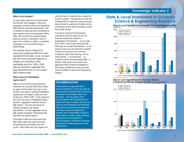#### *What is this indicator?*

In recent years, state and local government has become more engaged in using and leveraging university science and engineering R&D funds for economic development. That is indicative of state and local commitment tobasic research and commercialization efforts.Often, that commitment is geared toward particular sectors or industries in which a region has or desires to obtain a competitive advantage, such as nanotechnology or biotechnology.

This indicator shows investment forscience and engineering R&D from funds originating from all state, county, municipal and other local government agencies, to colleges and universities in each metropolitan area from 1995 to 2000. Data are presented in aggregate form (total expenditure) and on a per student (S&E students) basis.

#### *Where does the Philadelphia region stand?*

State and local science and engineering investment for university R&D varies widely by region and fluctuates from year to year. Overall, most regions, including Philadelphia, experienced an increase in state and local funding from 1995 to 2000. At the beginning and end of the period, Philadelphia ranked seventh in aggregate investment and per S&E student. The level was below thenational average for per student expenditures. For both aggregate and per S&E student investment, Philadelphia falls well below the leading regions.

A shortage of state and local government R&D dollars within the region will hinder competitiveness and hamper economic growth. More states and more regions are

using this type of investment as a catalyst for economic growth. Pennsylvania runs the risk of falling behind if state and local government does not lead by example and make a strong commitment to work with the academic sectorand private industry.

It should be noted that Pennsylvania's commitment of \$33.8 million for the Life Sciences Greenhouse initiative inSoutheastern Pennsylvania — out of a total \$100 million, which is also being split with Pittsburgh and central Pennsylvania — is too recent to show up in the data that is charted. Furthermore, the funds are a one-time investment, rather than recurring, and not aimed directly — nor exclusively — at university science and engineering R&D. In addition, other states have chosen more aggressive R&D investment strategies for their tobacco settlement monies and otherfunds committed to science and engineering research.

#### *RECOMMENDATIONS*

Pennsylvania is a large state with a diverse constituency, but the jobs that will assure global competitiveness in the future are based on knowledge creation and innovation. The two regions of the Commonwealth with the greatest mix of assets that foster innovation and drive theeconomy are Philadelphia and Pittsburgh. State and local government investment in university science and engineering research has to substantially increase in those regions to make a major statement globally and to demonstrate the Commonwealth's commitment of regional government to federal agencies and the private sector.

#### **State & Local Investment in University Science & Engineering Research**



#### **State & Local Expenditures for University Science & Engineering R&D per Graduate Student** *(\$ thousands/student)*



**Innovation & Entrepreneurial Index 2002 — www.IPphila.com**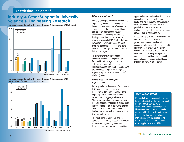**Industry Expenditures for University Science & Engineering R&D** *(\$ millions)*



**Industry Expenditures for University Science & Engineering R&D per Graduate Student** *(\$ thousands/student)*



#### *What is this indicator?*

Industry funding for university science and engineering R&D reflects the degree of interaction between a region's academic community and the business world and serves as an indication of industry's assessment of university R&D quality. Perhaps more directly than any other source of university R&D funding, industry investment in university research spills over into commercial success and translates to economic growth, however not all to the local region.

This indicator shows investments for university science and engineering R&D from profit-making organizations to colleges and universities in each metropolitan area from 1995 to 2000. Data are presented in aggregate form (total expenditure) and on a per student (S&E students) basis.

#### *Where does the Philadelphia region stand?*

Industry and other investment for university R&D increased for most regions, including Philadelphia, from 1995 to 2000. At the beginning of the period, Philadelphia ranked fourth in aggregate investment. The region moved up one place by 2000. Per S&E student, Philadelphia ranked sixth in both periods. That is below the national average. Philadelphia falls below the leading regions for both aggregate and per S&E student investment.

The relatively low aggregate and per student investment by industry in university science and engineering R&D in the Philadelphia region may present additional

opportunities for collaboration if it is due to incomplete knowledge by the business sector and not to negative perceptions of local institutional research. Even ifpessimism does account for the explanation, perceptions can be overcome provided that is not the reality.

A good example of strong commitment by industry as well as state and local government working together with academia to leverage federal investment in university R&D, shows up in Raleigh-Durham. From 1995 to 2000, industry investment in university R&D grew 144 percent. The benefits of such committed partnerships will be apparent in Raleigh-Durham for many years to come.

#### *RECOMMENDATIONS*

More collaboration between industriesbased in the State and region and local universities will spin out more commercial success stories regionally. Universities need to attract industrialpartners while the private sector needs to focus its attention and collaborate more closely with universities to help realize the potential for commercially driven applied academic R&D.

**..........**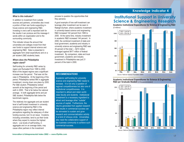#### *What is this indicator?*

In addition to investment from outsidesources and partners, universities also invest a portion of their own funds supporting inhouse science and engineering R&D. Investing in one's self is important both for the results it can produce and the message it sends within an organization and to the surrounding community.

This indicator shows the amount thatuniversities and colleges invest from their own funds to support internal science and engineering R&D. Data is presented in aggregate form (total expenditure) and on a per student (S&E students) basis.

#### *Where does the Philadelphia region stand?*

Self-funding for university R&D varies by region and fluctuated from 1995 to 2000. Most of the largest regions saw a significant increase over the period. That was not the case in Philadelphia. At the beginning of the period, Philadelphia ranked fifth in aggregate investment, moving down one place by 2000. Per S&E student, Philadelphia ranked seventh at the beginning of the period and sixth in 2000. That is far below the nationalaverage. In both aggregate terms and per S&E student, Philadelphia falls below the benchmark regions.

The relatively low aggregate and per student level of self-funded investment in university science and engineering R&D in the Philadelphia region may reflect internal perceptions regarding the adequacy of other funding sources, but it is an issue. Investors, including universities, tend to put their funds where they expect to receive the highest return. Low levels of self-funding, in aggregate and on an average basis, may cause other partners in the investment

process to question the opportunities that they perceive.

A good example of how self-investment can leverage other investment can be seen in Raleigh-Durham, where academic investment in university-based science and engineering R&D increased 142 percent from 1995 to 2000. At the same time, industry investment in academic R&D increased 144 percent. In 2000, the combined investment of state and local government, academia and industry in university science and engineering R&D was 45 percent of the total — \$272 million leveraged against \$477 million of federal investment. By comparison, state and local government, academic and industry investment in Philadelphia was just 21 percent of the total in 2000.

#### *RECOMMENDATIONS*

Academic self-funding for university science and engineering R&D needs to increase. It is not only a question of regional competitiveness but also one of institutional competitiveness. It is important to attract and retain worldclass faculty and students. Institutional investment is a necessary ingredient to attract and leverage other "outside" sources of capital. Furthermore, the returns generated from applied research that results in commercial success canbe reinvested to sustain and grow research and commercialization activity in a kind of virtuous circle. Universitiesalso need the collaborative support of the business community to achieve such commercial success.

## **4**<br> **14**<br> **14**<br> **14**<br> **14**<br> **14**<br> **14**<br> **14**<br> **14**<br> **14**<br> **14**<br> **14**<br> **14**<br> **14**<br> **14**<br> **14**<br> **14**<br> **14**<br> **14**<br> **14**<br> **14**<br> **14**<br> **14**<br> **14**<br> **14**<br> **14**<br> **14**<br> **14**<br> **14**<br> **14**<br> **14**<br> **14**<br> **14**<br> **14**<br> **14**<br> **14**<br> **14**<br> **Institutional Support in University Science & Engineering Research**

**Academic Institutional Expenditures for Science & Engineering R&D** *(\$ millions)*



#### **Academic Institutional Expenditures for Science & Engineering R&D per Graduate Student** *(\$ thousands/student)*

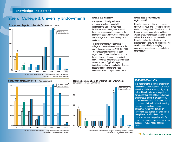**Total Value of Reported University Endowments** *(\$ billions)*



#### **Endowment per (1997) Student** *(\$ thousands/student)*



*Source: National Association of College & University Business Officers Enrollment: U.S. Department of Education*

#### *What is this indicator?*

College and university endowments represent investment potential that influences the future. Since theseinstitutions are a key regional economic force and are especially important to the technology sector, endowment strength can add leverage to economic development decisions.

This indicator measures the value of college and university endowments at the end of the academic year (1995-'96, 2000- '01), for reporting institutions in each region. Out of more than 500 institutions in the eight metropolitan areas examined, only 77 reported endowment value for both academic years. Typically, reporting institutions are four-year schools. Data are presented in aggregate form (total endowment) and on a per student basis.

#### *Where does the Philadelphia region stand?*

Philadelphia ranked third in aggregate endowment value and second per enrolled student in both periods. The University of Pennsylvania is the only local institution with an endowment greater than one billion dollars. The academic community in Philadelphia has the potential to be a significant force around the local economic development table by leveraging endowment strength and bringing to bear other resources.

#### **Metropolitan Area Share of Total (National) Endowments**

*(for Institutions Reporting Endowments)*



*Source: National Association of College & University Business Officers Enrollment: U.S. Department of Education*

#### *RECOMMENDATIONS*

It is important that a portion of university endowments be allocated as risk capital at work in the local economy. Typically universities allocate some proportion (five percent or less) of total endowment to alternative assets or private equity. To maximize benefits within the region, it is important that such high-risk investing occur among local early-stage companies rather than through an investment pool outside the area, where the spillover benefits of commercialization — new companies, jobs for knowledge workers or an increase to the tax base — would not be captured locally.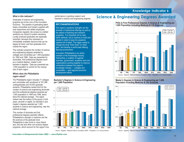#### *What is this indicator?*

Graduates of science and engineering programs are at the core of the Innovation Economy. The pipeline of graduating talent keeps universities and industry supplied with new researchers and skilled employees. Companies regularly cite access to a skilled workforce as critical to location decisions.Locally produced graduates are especially important, because they represent an immediately available resource that can be tapped at lower cost than graduates from outside the region.

This indicator presents the number of science and engineering degrees awarded by colleges and universities per 1,000 population for 1994 and 1998. Data are presented for doctorates, first professional degrees (such as a medical degree), master's and bachelor's degrees. Data are presented per 1,000 population to control for the varying size of each region.

#### *Where does the Philadelphia region stand?*

The Philadelphia region includes 71 colleges and universities with enrollment of 191,286 undergraduates and 53,002 graduate students. Philadelphia ranked third for the number of science and engineering doctorate and first professional degrees awarded per 1,000 population in 1994 and 1998, about twice the national average. The region ranked near the bottom of the group in both years, seventh or eighth, for bachelor's and master's degrees awarded per 1,000 students in science and engineering, near the national average.

This number of doctorate and first professional degrees awarded reflects Philadelphia's strength in medicine and the life sciences at the graduate level. Philadelphia is also home to many liberal arts, fine arts and other non-science degree programs, which account for the region's low performance in granting master's and bachelor's science and engineering degrees.

#### *RECOMMENDATIONS*

The region's academic strengths are the diversity of institutional offerings as well as the stature of teaching and research programs. It is important not to cede either attribute, but to continue to build and rebuild in order to keep the academic pipeline full of talent. The region needs to change the local "brain drain" to "brain gain" and develop a world-class lifelong learning environment.

Innovation Philadelphia is an active member of the Knowledge Industry Partnership, a coalition of regional business, government, academic and civic organizations working together to improve connections between the region's knowledge industry — colleges and universities — and regional economic development efforts.

#### **Bachelor's Degrees in Science & Engineering per 1,000 Population**



*Source: Degrees: National Science Foundation (NSF). Population: U.S. Census Bureau*



**PhDs & First Professional Degrees in Science & Engineering per 1,000 Population Including Medicine & Life Sciences**

**Master's Degrees in Science & Engineering per 1,000 Population Including Medicine & Life Sciences**



*Source: Degrees: National Science Foundation (NSF). Population: U.S. Census Bureau*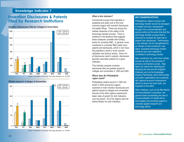#### **Invention Disclosures Filed by Colleges & Universities**



#### **Patents Issued to Colleges & Universities**



*Source: Association of University Technology Managers, Inc. (AUTM)*

#### *What is this indicator?*

Commercial success that originates in academia and spills over to the local economy begins with invention disclosures and patent filings. These are among the earliest measures of the vitality of the technology transfer process. There is evidence in the literature that suggests these measures correlate with funding levels for university R&D. In general, more investment in university R&D yields more patents and disclosures, which in turn have the potential to result in more commercialization and spinout activity. Since not all disclosures result in patents, disclosures typically outnumber patents for a given institution.

This indicator presents invention disclosures filed and patents issued to colleges and universities in 1995 and 2000.

#### *Where does the Philadelphia region stand?*

Philadelphia ranked second in 1995 and fourth in 2000 among the regions examined in both invention disclosures andpatents issued at colleges and universities Several of the other regions experienced faster rates of growth for both indicators over the period. All of the regions were far behind Boston for both indicators.

#### *RECOMMENDATIONS*

Philadelphia's relative success with technology transfer should be leveraged to bolster economic development through more commercialization and spinout activity at the same time that the technology transfer process itself is improved to increase the yield rate of patents from disclosures. Performance in this indicator can be strengthened by an infusion of new investment, new talent, expanded technology transfer initiatives and more institutionscommitted to technology transfer.

New investment can come from outsidesources as well as the proceeds of previous commercial success. New talent can result from retaining and attracting the best and the brightest. Initiatives such as the Knowledge Industry Partnership, which links private and public organizations and academia with regional economic development efforts to reduce the brain drain, are important to this effort.

Other initiatives, such as the Mid Atlantic Commercialization Corporation, are geared toward accelerating the rate of commercialization of market-driventechnologies and providing support to university applied research and technology efforts.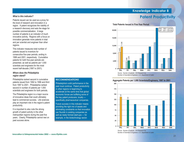#### *What is this indicator?*

Patents issued can be used as a proxy for the level of research and innovation in aregion. A patent recognizes the viability of a research discovery and sets the stage for possible commercialization. A large number of patents is an indicator of much innovative activity. Regions with a focus on innovation generate more patents in total and per scientist and engineer than other regions.

This indicator measures total number ofpatents issued to inventors for consecutive five-year periods, ending in 1996 and 2001, respectively. Cumulative patents for both five-year periods are presented, as well as patents per 1,000 scientists and engineers for the most recent half-decade (1997 to 2001).

#### *Where does the Philadelphia region stand?*

Philadelphia ranked second in cumulative patents issued from 1992 to 1996 and third from 1997 to 2001. Philadelphia ranked second in number of patents per 1,000 scientists and engineers for both periods.

The Philadelphia region is a major source of innovative ideas that could ultimately lead to commercial success. Life sciencesplay an important role in the region's patent productivity.

It is important to also note the strong growth of patent activity in the other metropolitan regions during the past five years. Clearly, Philadelphia cannot rest on past success alone.

#### *RECOMMENDATIONS*

Philadelphia's solid performance in the past must continue. Patent productivity in other regions is beginning to accelerate at the same time that global economic forces are buffeting some of the key patent producers, locally specifically pharmaceutical companies.

Future success in this indicator meansproviding the right mix of assets and eliminating constraints so that innovation can flourish in existing companies as well as newly formed start-ups — for example, in the biotechnology sector.

#### **Total Patents Issued in Five-Year Period**



*Number of Scientists & Engineers: U.S. Department of Labor*

#### **Aggregate Patents per 1,000 Scientists/Engineers, 1997 to 2001**



*Number of Scientists & Engineers: U.S. Department of Labor*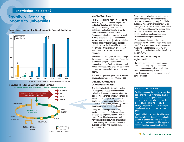# **9**<br> **Royalty & Licensing<br>
Income to Universities**<br> **Gross License Income (Royalties) Received by**<br> **Gross License Income (Royalties) Received by**<br> **Gross Light Bar**

#### **Gross License Income (Royalties) Received by Research Institutions** *(\$ millions)*



#### **Innovation Philadelphia Commercialization Model**

*Successful Investment is the Foundation of a Successful Commercialization Model*



#### *What is this indicator?*

Royalty and licensing income measures the value assigned to intellectual property as technology transfers from campus out through the economy toward commercialization. Technology transfer is not the same as commercialization, however. Commercialization that occurs locally, results in spillover benefits to the local economy, such as new companies, jobs for knowledge workers and new tax revenues. Intellectualproperty can also be licensed far from the region where it was originally produced, in which case local spillover benefits are negligible.

Institutions can exert great influence through the successful commercialization of ideas thatoriginate on campus. Locally, life science companies such as Centocor, Cephalon and Neose Pharmaceuticals, show the potential of homegrown commercialization and start-up activity.

This indicator presents gross license income accruing to universities for 1995 and 1999.

#### *Innovation Philadelphia's Commercialization Model*

The chart to the left illustrates InnovationPhiladelphia's virtuous circle of commercialization. IP seeks to maximize returns forboth the researcher/scientist/inventor and thelocal economy. IP provides support or assistance for researchers throughout the process of development, technology transfer, commercialization and reinvestment.

During the early stages of discovery, feasibility analysis, proof-of-concept and prototype development, (Steps 1-5 on the chart), IP provides the resources and networking to help secure government and private funding and provides a network of business advisors who can help launch ideas and businesses.

Once a company is viable or technology is transferred (Step 6), it begins to generate royalties, profits or equity (Step 7). IP helps successful researchers/entrepreneurs utilize those gains to reinvest and begin work on the next generation of technology spinouts (Step 8). Such reinvestment keeps spillover benefits local and creates greater public return in addition to private benefits.

IP's assistance throughout the commercialization life cycle process helps more ideas lift off of paper and leave the laboratory while remaining part of the local economy, thus producing more direct and indirect benefits to the community.

#### *Where does the Philadelphia region stand?*

Philadelphia ranked third in gross license income at the beginning and end of the period. As measured by this indicator the royalty income accruing to intellectual property generated on local campuses is not particularly high.

#### *RECOMMENDATIONS*

Besides increasing the number of licensing deals and the value of individual deals, the Philadelphia region's performance can be improved by commercializing university technology and licensing it locally to existing companies and to start-ups spun from the university technology transfer process.

Specific initiatives such as the Mid Atlantic Commercialization Corporation accelerate the rate of commercialization of marketdriven technologies and provide support to academic applied research in the region.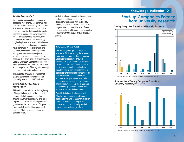#### *What is this indicator?*

Commercial success that originates in academia may or may not generate new business starts. Technology spillover from academia to the commercial sector thatdoes not result in start-up activity can be licensed to companies anywhere in the world. In recent years, however, new companies formed around technology originating inside academic institutions especially biotechnology and computing have generated much excitement and commercial success. When spun out locally, start-ups create new jobs for knowledge workers and expand the tax base, as they grow and vie for profitability. Locally, Centocor, Cephalon and Neose Pharmaceuticals are three examples that show the potential of homegrown start-ups spun out of university technology.

This indicator presents the number of start-up companies formed based on university research in 1995 and 2000.

#### *Where does the Philadelphia region stand?*

Philadelphia ranked third at the beginning of the period and sixth at the conclusion in number of start-up companies formed around university technology. The other regions under examination experienced growth over the period, most of it quite rapid, while Philadelphia experienced decline. All of the regions lagged far behind Boston.

While there is no reason that the number ofstart-ups should rise continually, Philadelphia's success with technology transfer, as based on other indicators, does not generate a comparable level of new business activity, which can pose obstacles in the way of fostering an entrepreneurial climate.

#### *RECOMMENDATIONS*

The local region's great strength in academic R&D, especially life sciences, must spin out more start-up companies. Local universities have shown aproclivity for basic rather than applied research, in the past. They have also shown more strength in technology transfer, than in commercialization. In particular for life science companies, the risk profile is steep — commercial success is not quaranteed even after consuming substantial time and huge capital resources — but more start-ups should yield greater commercial and economic success in later years.

Specific initiatives like the new Mid Atlantic Commercialization Corporation accelerate the rate of commercializationof market-driven technologies and provide support to university applied research and technology efforts.

# **10 10 10 Start-up Companies Formed from University Research**<br> **10 Companies Formed from University Research**<br> **10005 = Light Bar** (10000 = Dark Bar (2000 = Dark Bar)

**Start-up Companies Formed from University Research**



**Total Number of Start-up Companies Formed from University Research, 1995 - 2000**



*Source: Association of University Technology Managers Inc.(AUTM)*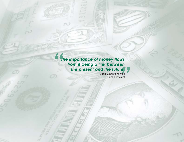*"The importance of money flows rs*<br>n<br>另<mark></mark> *from it being a link between the present and the future.*

**John Maynard Keynes** British Economist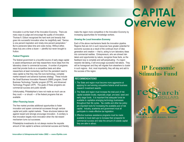## **CAPITAL Overview**

Innovation is at the heart of the Innovation Economy. There are many ways to judge and encourage the quality of innovation. Thomas A. Edison recognized the hard work and tenacity that goes into successful innovation when he insightfully said, "Genius is one percent inspiration and ninety-nine percent perspiration." But to persevere takes time and costs money. Without either, ideas truly are a dime a dozen — plentiful but never brought to fruition.

#### *Federal Programs*

The federal government is a bountiful source of early stage capital to assist entrepreneurs and help researchers move ideas from the laboratory closer to commercial success. A number of programs exist that provide funds on a competitive basis and allow researchers at least momentary rest from the persistent need to raise capital so that they may fine tune technology, complete market research and advance business strategy. These include the Small Business Innovation Research (SBIR) program, Small Business Technology Transfer program (STTR), and Advanced Technology Program (ATP). The goals of these programs are commercial success and public benefit.

Unfortunately, Philadelphian's have not made as much use as they could — or should — of the federal programs that are available

#### *Other Financing Issues*

The free market provides additional opportunities to foster innovation and spawn commercial successes through venture capital and public capital markets. These structures balance risk against reward and strongly encourage innovation. A corollary is that innovation begets more innovation when the risk-reward mechanism turns out successes.

Philadelphia investments do not always receive the requisite amount of risk capital to achieve commercial success and thereby make the region more competitive in the Innovation Economy by increasing opportunities for knowledge workers.

#### *Growing the Local Innovation Economy*

Each of the above mechanisms feeds the innovation pipeline. Regions that are rich in such resources have greater potential for economic success as a result of the continual churn of ideageneration and creation — that is, acting to turn laboratory ideas into commercial realities. Entrepreneurs, who are shrewd risktakers and opportunists by nature, recognize those facts, so the feedback loop is complete and self-perpetuating: If a region rewards risk-taking, it will encourage successful risk-takers. They will be homegrown and they will migrate from elsewhere to cluster in such regions. And, most importantly, they will stay and add to the success of the region.

#### *RECOMMENDATIONS*

- 1. The State and region must become more aggressive at applying for and winning competitive federal small business research investment awards.
- 2. The State and region must increase the total pool of risk capital available locally, especially angel, pre-seed, seed and early stage funds. It is important that adequate funds be available to capitalize emerging technology businesses throughout their life cycles. Tax credits and other tax policy are important tools for increasing the available pool of risk capital. Industry, academia and government must all participate to create effective tax legislation.
- 3. Effective business assistance programs must be made available to local start-ups to increase their prospects for commercial success and raise the amount of outside capital they are able to attract.

## **IP EconomicIP EconomicStimulus Fund**



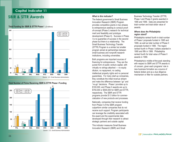#### **SBIR & STTR Awards**

#### **Total Funding for SBIR & STTR Phase I** *(\$ millions)*



#### **Total Number of Firms Receiving SBIR & STTR Phase I Funding**



**Capital Indicator 11**<br> **SBIR & STTR Awards**<br>
Total Funding for SBIR & STTR Phase I (*S millions)*<br>
Total Funding for SBIR & STTR Phase I (*S millions)*<br>
SHER AND TOTAL CONDITIONS (SBIR) Program<br>
Invoides competitive grant I is no guarantee of success in the second phase but there is a relationship. The Small Business Technology Transfer (STTR) Program is a similar but smaller program aimed at partnerships between small business and nonprofit research institutions, including universities.

> Both programs are important sources of financing for entrepreneurs. They are the purest form of public venture capital, with virtually no strings attached — no equity dilution, no repayment, no ceding intellectual property rights and no personal guarantees. For many start-up companies, they constitute the initial revenue stream and make the difference between "go" and "no-go" decisions. Phase I provides up to \$100,000, and Phase II awards are up to \$750,000 or \$500,000 for SBIR and STTR, respectively. The SBIR and STTR programs provide \$1.5 billion for commercialization of new products and processes.

> Nationally, companies that receive funding from Phase II of the SBIR program outperform similar companies that do not receive such support. Program participants can leverage the credibility associated with the award and the experimental data developed through their research to attract strategic partners and outside capital.

This indicator measures Small BusinessInnovation Research (SBIR) and Small

Business Technology Transfer (STTR) Phase I and Phase II grants awarded in 1995 and 1999. Data are presented for total number and total dollar value ofawards.

#### *Where does the Philadelphia region stand?*

Philadelphia ranked fourth in total number of Phase I proposals funded in 1995 and 1999, as well as total number of Phase II proposals funded in 1999. The region ranked fourth in Phase I dollars awarded in1995 and fifth in 1999. Philadelphia ranked fourth for total value of Phase IIawards in 1999.

Philadelphia's middle-of-the-pack standing with respect to SBIR and STTR awards is of concern, given each programs' role in new business formation as a source offederal dollars and as a due diligence mechanism or filter for outside partners.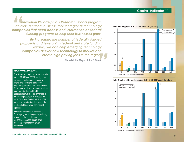*"Innovation Philadelphia's Research Dollars program delivers a critical business tool for regional technology companies that need access and information on federal funding programs to help their businesses grow.* 

g<br>d<br>**7, 5** *By increasing the number of federally funded proposals and leveraging federal and state funding awards, we can help emerging technology companies deliver new technology to market and create high paying jobs in the region.*



### **11**<br> **11**<br> **11**<br> **11**<br> **11**<br> **11**<br> **11999 = Dark Bar**<br> **1999 = Dark Bar**<br> **1999 = Dark Bar PHL PIT BAL WAS NYC BOS RDU SAN\$0 \$10 \$30 \$50 \$70** 9.0 18.0 2.5 5.5 108.7 *1995 = Light Bar 1999 = Dark BarSource: U.S. Small Business Administration*

#### **Total Number of Firms Receiving SBIR & STTR Phase II Funding**



*Source: U.S. Small Business Administration*

#### *RECOMMENDATIONS*

The State's and region's performance in terms of SBIR and STTR activity must increase. The barriers that exist towriting and submitting competitive program applications must be removed. While more applications should result in more awards, the quality of the applications must also be enhanced at the time of production to increase the yield. The more funded SBIR & STTR projects in the pipeline, the greater the likelihood of later stage commercial success.

Innovation Philadelphia's Research Dollars program is designed specifically to increase the quantity and quality of regionally generated federal grant proposals by technology-driven businesses.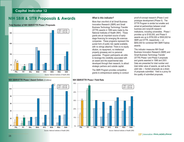#### **Total Number of NIH SBIR/STTR Phase I Proposals**



**NIH SBIR/STTR Phase I Award Dollars** *(\$ millions)*



#### *What is this indicator?*

More than one-third of all Small BusinessInnovation Research (SBIR) and Small Business Technology Technology Transfer (STTR) awards in 1999 were made by the National Institutes of Health (NIH). These grants are an important source of earlystage financing for emerging life sciences companies. These programs represent the purest form of public risk capital available, with no strings attached. There is no equity dilution, no repayment, no intellectual property giveaway and no personal guarantee. Program participants are able to leverage the credibility associated with an award and the experimental data developed through their research, to attract strategic partners and outside capital.

The SBIR Program provides competitive grants to entrepreneurs seeking to conduct

proof-of-concept research (Phase I) and prototype development (Phase II). The STTR Program is similar but smaller and aimed at partnerships between small business and nonprofit research institutions, including universities. Phase I provides up to \$100,000, and Phase II awards are up to \$750,000 or \$500,000 for SBIR and STTR, respectively — or \$850,000 for combined NIH SBIR Fastrac awards.

This indicator measures NIH SmallBusiness Innovation Research (SBIR) and Small Business Technology Transfer (STTR) Phase I and Phase II proposals and grants awarded in 1996 and 2001. Data are presented for total number and total dollar value of awards, as well as the yield rate — funded proposals as a share of proposals submitted. Yield is a proxy for the quality of submitted proposals.

#### **NIH SBIR/STTR Phase I Yield Rate**



*Source: National Institutes of Health (NIH)*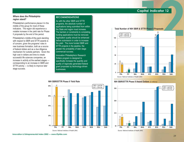#### *Where does the Philadelphia region stand?*

Philadelphia's performance places it in the middle of the group for most of these indicators. The region did experience a notable increase in the yield rate for Phase II proposals by the end of the period.

Philadelphia's middle-of-the-pack standing with respect to SBIR and STTR awards is of concern, given the programs' roles in new business formation, both as a source of federal dollars and as a due diligence mechanism for outside partners. Given the high cost in dollars and time to create successful life sciences companies, an increase in activity at the earliest stages corresponding to an increase in SBIR and STTR activity — is likely to improve later stage success.

#### *RECOMMENDATIONS*

As with the other SBIR and STTRprograms, the absolute number of applications being submitted from within the State and region must increase. The barriers or constraints to completing funding applications must be removed. Application quality should be enhanced before submission in order to increasethe yield. The more funded SBIR and STTR projects in the pipeline, the greater the probability of later stage commercial success.

Innovation Philadelphia's Research Dollars program is designed to specifically increase the quantity and quality of regionally generated federal grant proposals by technology-driven businesses.









#### **NIH SBIR/STTR Phase II Award Dollars** *(\$ millions)*



*Source: National Institutes of Health (NIH)*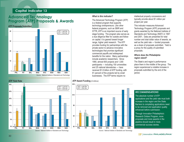## **13Capital Indicator 13 Advanced Technology Program (ATP) Proposals & Awards**

**ATP Proposals Submitted**



#### *What is this indicator?*

The Advanced Technology Program (ATP) is a federal program that supports technology entrepreneurs. Like other federal programs, such as SBIR and STTR, ATP is an important source of early stage funding. The program also serves as a due diligence filter for outside and followon capital. It is geared toward longer range, higher yield research. The ATP provides funding for partnerships with the private sector to advance innovative technologies that promise significant commercial payoffs and widespread benefits for the nation. Many partnerships include academic researchers. Since1990, almost 600 projects and 1,300 participants — including 150 universities and 25 national laboratories — havereceived \$1.8 billion of ATP funding, with 61 percent of the projects led by small businesses. The ATP terms require no

intellectual property concessions and typically provide about \$1 million per project per year.

This indicator measures AdvancedTechnology Program (ATP) proposals and grants awarded by the National Institute of Standards and Technology (NIST) in 1997 and 2001. Data are presented for total number and total dollar value of awards, as well as the yield rate — funded proposals as a share of proposals submitted. Yield is a proxy for the quality of submitted proposals.

#### *Where does the Philadelphia region stand?*

The State's and region's performance place them in the middle of the group. The region experienced a notable increase in proposals submitted by the end of the period.



#### **ATP Award Funding** *(\$ millions)*



#### *RECOMMENDATIONS*

The absolute number of ATPapplications and the yield rate must both increase in the region and the State. Barriers to completing applications need to be removed and application quality enhanced before submission.

Through Innovation Philadelphia's Research Dollars Program, more proposals and more awards in the pipeline should result in more commercial success stories.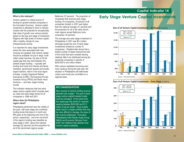#### **Innovation & Entrepreneurial Index 2002 — www.IPphila.com**

#### *What is this indicator?*

Venture capital is a critical source of funding for growth-oriented companies in the Innovation Economy. Venture capital investment is attracted to firms in industry clusters with the potential for exceptionally high rates of growth over various periods, based on the type and stage of investment. Regions with high levels of venture capital offer a healthy climate for new entrepreneurial activity.

It is important for early stage investments where the risks associated with newventures are greatest, that venture capital should be available not just in large, multimillion dollar tranches, but also to fill the capital gap that may exist between the earliest project funding — typically selffunding and funds from friends and family members, government awards and private angel investors, which in the local region includes: Loosely Organized Retired Executives (LORE), Pennsylvania Private Investors Group (PPIG) and Robin Hood Ventures — and later, larger funding rounds.

This indicator measures total and early stage venture capital (which includes start up, seed and early stage funds) for all companies in 1996 and 2001.

#### *Where does the Philadelphia region stand?*

Philadelphia performed near the middle of the pack, with early stage and combined funding levels that place it in fourth and fifth place at the beginning and end of the period, respectively. Just over one-fourth of the region's funding was classified as early stage in 2001, above the national average (22 percent) and the proportion for all of the benchmark regions except

Baltimore (37 percent). The proportion of companies that received early stage funding (16 companies, 36 percent of all companies funded) in 2001 was higher than the national average (31 percent) and the proportion for all of the other benchmark regions except Baltimore (nine companies; 44 percent).

The average size early stage investment in Philadelphia in 2001 was \$5.4 million. (Average equals the sum of early stage investments divided by number of companies.) Detailed data shows that a limited number of deals received the bulkof the funds that were invested leaving relatively little to be distributed among the remaining companies in parcels of \$250,000 to one million dollars.

With venture capitalists becoming even more cautious during the past year, the situation in Philadelphia will deteriorate unless more funds are committed on aregional basis.

#### *RECOMMENDATIONS*

New sources of venture funding must be attracted and created. The pool of early stage venture capital invested locally must be increased. At the same time, the capital gap that exists for ventures seeking between \$500,000 and \$1.5 million must be closed. Since smallerdeals result in a larger portfolio that may be more difficult to manage, the issue of risk must be addressed. InnovationPhiladelphia's Mid Atlantic Angel Group (MAG) and Economic Stimulus Fund (ESF) are initiatives that address local venture capital availability.

## **124Capital Indicator 14 Early Stage Venture Capital Investments**

#### **Sum of all Venture Capital Investments – All Stages** *(\$ millions)*



#### **Sum of all Venture Capital Investments – Early Stage** *(\$ millions)*

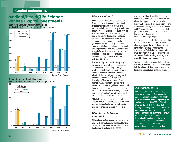## **15Capital Indicator 15 Medical/Health/Life Science Venture Capital Investments**

**Sum of All Venture Capital Investments in Medical/Health/Life Sciences – All Stages** *(\$ millions)*



**Sum of All Venture Capital Investments in Medical/Health/Life Sciences – Early Stage** *(\$ millions)*



#### *What is this indicator?*

Venture-capital investment is attracted to firms in industry clusters with the potential for exceptionally high rates of growth over various periods, based on the type and stage of investment. The risks associated with lifesciences investments are particularly high, due to the lengthy testing and regulatory process before commercialization. Many companies require substantial capital (between \$300 million and \$500 million) and many years before products are on the road toward profitability. Life sciences companies struggle for survival until the time they are profitable, so outside support remains necessary throughout their life cycles or until they go public.

It is especially important for early stage investments, where the risks associated with new companies are greatest, that venture capital should be available not just in large, multi-million dollar tranches but also to fill the capital gap that may exist between the earliest project funding typically self-funding and funds from friends, family members, government awards and private angel investors — and later, larger funding rounds. Especially for the high-risk life sciences sector, a healthy early stage "pipeline" provides increased likelihood of later commercial success.

This indicator measures total and early stage venture capital (which includes start-up, seed and early stage funds) for medical, health and life sciences companies in 1996 and 2001.

#### *Where does the Philadelphia region stand?*

Philadelphia performs near the middle of the pack, with early stage and combined funding levels that place it in third and fourth place at the beginning and end of the period,

respectively. Almost one-third of the region's funding was classified as early stage in 2001, above the proportion for all of the other benchmark regions. Forty-two percent (eight companies) of all regional companies funded in 2001 received early stage funding. That proportion is near the middle of the pack (maximum: Baltimore, 50 percent; minimum: Pittsburgh, 26 percent).

The average size early stage investment in Philadelphia in 2001 was \$8.7 million. (Average equals the sum of early stage investments divided by number of companies.) Detailed data shows that a limited number of deals received the bulkof invested funds, leaving relatively little capital for the remaining companies.

Venture capitalists continued their cautious investing during the past year. The situation in Philadelphia will deteriorate unless more funds are committed on a regional basis.

#### *RECOMMENDATIONS*

New sources of venture funding must be attracted and created. Early-stage life sciences venture capital invested locally must be increased and the capital gap for ventures seeking \$500,000 to \$1.5 million must be closed. It is important that funding not simply be shifted from later- to early-stage, or from larger tranches to smaller tranches, but that the total amount of funds available be increased.Innovation Philadelphia's Mid Atlantic Angel Group (MAG) and Economic Stimulus Fund (ESF) are initiatives that address local venture capital availability.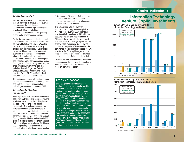Venture capitalists invest in industry clusters that are expected to achieve above average returns during the period under consideration, based on type and stage of investment. Regions with high concentrations of venture capital generally offer a better entrepreneurial climate.

As the dot-com explosion — the boom and bust — shows, even venture capitalists may be swayed to follow the crowd. When that happens, companies or whole industry clusters may be overlooked. Public venture capital provides some counter measure to such bias. For early stage investments, where risk is particularly high, venture capital should be available to fill the capital gap that often exists between earliest project funding — from friends, family members, and angel investors, which in the local area includes: Loosely Organized Retired Executives (LORE), Pennsylvania Private Investors Group (PPIG) and Robin Hood Ventures — and later, larger rounds.

This indicator measures total and early stage venture capital (which includes start-up, seed and early stage funds) for information technology companies in 1996 and 2001.

#### *Where does the Philadelphia region stand?*

Philadelphia performs near the middle of the pack, with early stage and combined funding levels that place it in third and fifth place at the beginning and end of the period, respectively. The region experienced an increase in venture capital committed to information technology during the period, but the growth rate was lower than for the other benchmark regions. One-fifth of the region's funding was classified as early stage in 2001, close to most benchmark regions (maximum: Baltimore, 45 percent; minimum: Washington, D.C., 18 percent). The proportion of companies that received early-stage funding

(16 companies; 34 percent of all companies funded) in 2001 was also near the middle of the pack (maximum: Baltimore, 50 percent; minimum: Boston, 28 percent).

The slower local rate of growth for information technology venture capital, is reflected by the average 2001 early stage investment in Philadelphia of \$4.3 million about half the average size investment in Pittsburgh, the region with the next lowest average deal size. (Average equals the sum of early stage investments divided by the number of companies.) That may reflect the dominance of a single publicly traded venture investor in the Philadelphia region and the large concentration of local IT deals funded and held in that portfolio during the period.

With venture capitalists becoming even more cautious during the past year, the situation in Philadelphia will deteriorate unless more funds are committed, locally.

#### *RECOMMENDATIONS*

Early stage information technology venture capital invested locally must be increased. New sources of venturefunding must be attracted and created. At the same time, the capital gap that exists for ventures seeking between \$500,000 and \$1.5 million must be closed. It is important that funding not simply be shifted from later to earlier rounds but that the total amount of fundsavailable be increased. Since smallerdeals result in a larger portfolio that is more difficult to manage, the associated risk must be addressed. Innovation Philadelphia's Mid Atlantic Angel Group (MAG) and Economic Stimulus Fund (ESF) are initiatives that address local venture capital availability.



**Sum of all Venture Capital Investments in Information Technology – All Stages** *(\$ millions)*



#### **Sum of all Venture Capital Investments in Information Technology – Early Stage** *(\$ millions)*

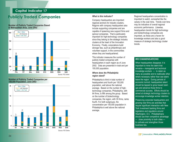#### **Publicly Traded Companies**

#### **Number of Publicly Traded Companies Based in Metropolitan Area, June 2002**



#### **Number of Publicly Traded Companies per 100,000 Population, June 2002**



**Capital Indicator 17**<br> **Publicly Traded Companies**<br>
Number of Publicly Traded Companies Based<br>
Number of Publicly Traded Companies Based<br>
Number of Publicly Traded Companies Based<br> **Publicly Traded Companies Based**<br>
Numbe since they belong to the strategic industry clusters at the heart of the InnovationEconomy. Finally, corporations build stronger ties, such as philanthropic and volunteer support, in the communities where they are headquartered.

> This indicator measures the number ofpublicly traded companies with headquarters in each region as of June 2002. Data are presented in total and per 100,000 population.

#### *Where does the Philadelphia region stand?*

Philadelphia is third in total number of headquarters and fourth per 100,000 population, well above the national average. Based on the number of hightechnology companies, Philadelphia, with 64 firms, is fifth among the group. Based on the number of biotechnology companies, the region, with 35 firms, ranks fourth. For both subgroups, the concentration per 100,000 population in Philadelphia is well above the national average.

#### Regional headquarters concentration is important to watch, somewhat like the canary in the coal mine. Trends over time may be indicative of overall regional economic performance. Likewise, headquarters trends for high technology and biotechnology companies are important, as these are a haven for knowledge workers and also a good measure of strategic technology cluster trends.

#### *RECOMMENDATIONS*

When headquarters disappear, it is important to mine the talent that remains— managerial and technical knowledge workers — to retain as many as possible and to reallocate other where necessary rather than see talent leave the region. During periods of economic turmoil, headquarters talent should be tapped to grow toward startups and advance those firms to commercial success. Efforts should beaimed at strategic technology clusters to encourage knowledge worker retention.

Preserving corporate headquarters and growing new firms are activities that require significant interaction with New York investment banking firms and legislators and regulators around Washington, D.C. Philadelphians should use their competitive advantage — close proximity to both cities to cultivate and strengthen those business ties.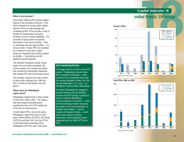#### *What is this indicator?*

Initial Public Offering (IPO) activity speaks directly to the Innovation Economy. IPOs allow companies to access public capital markets, which provide leverage and accelerate growth. IPOs are also a route to liquidity for entrepreneurs and early investors, such as venture capitalists. The proceeds of going public are typically reinvested in new venture activity — that is, new ideas and new opportunities — in a virtuous circle. Finally, IPOs are important as a measure of how well a region produces companies that investors regard as durable — long lasting and with significant growth potential.

Life sciences companies usually require larger sums of private investment, like venture capital, and a longer time before they achieve the prerequisite milestones that precede IPO and commercial success.

This indicator measures the total number of initial public offerings from 1996 and 2001, as well as total activity over that period.

#### *Where does the Philadelphia region stand?*

Philadelphia ranked fourth in total number of IPOs from 1996 to 2001. The regions that were ahead during that period experienced more of an IPO bubble due to the dot-com phenomenon.

In total biotech IPOs during the period, Philadelphia, (eight IPOs) was in fourth place, behind Boston (29 IPOs), San Diego (24 IPOs) and New York City (nine IPOs). In total information technology IPOs, Philadelphia (22 IPOs) was in fifth place.

#### *RECOMMENDATIONS*

The stage needs to be set for more IPO activity. Philadelphians should utilize their competitive advantage — close proximity to the investment banks and the venture capitalists of New York City and the Washington, D.C. area — to strengthen those business relationships.

Innovation Philadelphia is engaged in several initiatives that will ultimately increase local IPO activity, including its work to create the Mid AtlanticCommercialization Corporation — which will link technology transfer resources and assist in the commercialization ofstrategic technologies — and the creation of Research Dollars — whichwill provide support for federal technology commercialization award applicants (such as SBIR, STTR and ATP).





#### **Total IPOs 1996 to 2001**



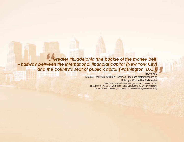#### *"...Greater Philadelphia 'the buckle of the money belt' " – halfway between the international financial capital (New York City) and the country's seat of public capital (Washington, D.C.).* **Bruce Katz***<u> ESSENTEN DE M</u>INITER*

**SEI exxi** 

Director, Brookings Institute's Center on Urban and Metropolitan Policy Building a Competitive Philadelphia *Speech to Pennsylvania Biotechnology Association, October 10, 2001 as quoted in the report, The State of the Venture Community in the Greater Philadelphia* 

*and the Mid-Atlantic Market, produced by The Greater Philadelphia Venture Group*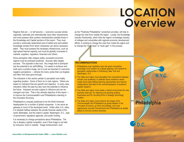## **LOCATION Overview**

**N.Y.C.**

**D.C.**

**Philadelphia**

Regions that are — or will become — economic success stories regionally, nationally and internationally have other requirements and must possess other positive characteristics besides those in the Knowledge and Capital sections of this report. They must provide a continually replenished pool of skilled and semi-skilled knowledge workers from which companies can derive necessary talent. They must possess the necessary infrastructure, such as high-speed Internet capacity, and must be globally connected to markets, suppliers, regulators, financiers and others.

Since perception often shapes reality, successful economic regions must be portrayed positively. Success often begets success. The opposite is also true. Any image that is portrayed has the potential to be self-fulfilling. It is easier to enhance and build upon a positive image, but it is just as important to overcome negative perceptions — witness the many cycles that Los Angeles and New York have gone through.

The indicators in this section pertain to perception and reality regarding location. Some of them try to rank regions. Others are based on indicators that are specific and objective. In every case, indicators reflect the past but also have the potential to influence the future. Indicators are also subject to influence and can be changed over time. That is the ultimate objective of this report to improve the Commonwealth's and Philadelphia's standing in the Innovation Economy.

Philadelphia is uniquely positioned to be the North American headquarters for a number of global companies. It can serve as gateway to much of the developed world. Unlike other U.S. cities, it is situated halfway between the private financial capital of the world, Manhattan, and the nation's capital, Washington, D.C., seat of government, regulatory agencies, and public funding.

It is necessary to change perceptions about Philadelphia. The city is already a global competitor, even if that image is not held by everyone, local or outsider. Image enhancement, such

as the "Positively Philadelphia" consortium provides, will help to change the view from outside the region. Locally, the Knowledge Industry Partnership, which links the region's knowledge industry of colleges and universities with regional economic development efforts, is working to change the view from inside the region and to change the "brain drain" to "brain gain" in the process.

#### *RECOMMENDATIONS*

- 1. Philadelphia must capitalize upon the great competitive advantage of its location as a global gateway, and network to strengthen relationships in Harrisburg, New York and Washington, D.C.
- 2. The State and region must strengthen the connections between industry and academia, to address future workforce needs, create world-class lifelong learning opportunities and improve collaborations that lead to the commercialization of academicapplied research.
- 3. The State and region must create a vibrant environment for new business start-ups, for retaining and growing existing businesses and for recruiting firms in strategic technology clusters.
- 4. The State and region must enhance the image of the Commonwealth and Philadelphia as global leaders in the Innovation Economy, at home and globally, and must aggressively promote Pennsylvania and Philadelphia as quality places to live and conduct business.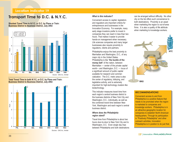#### **Transport Time to D.C. & N.Y.C.**

**Shortest Travel Time to N.Y.C. or D.C. by Plane or Train: Business District to Business District, July 2002**



**Total Travel Time to both N.Y.C. or D.C. by Plane and Train: Business District to Business District, July 2002**



#### *What is this indicator?*

Convenient access to capital, legislators and regulators are important criteria for entrepreneurs and businesses in the Innovation Economy. For example, many early stage investors prefer to invest in companies they can reach in less than two hours. That makes it easier to provide hands-on management when necessary. Life sciences companies and many larger businesses also require proximity to regulators, clients and partners.

Philadelphia enjoys the best proximity to Manhattan and Washington, D.C., of any major city in the United States. Philadelphia is like "**the buckle of the money belt**" of the nation, between Manhattan — center of the private capital world— and Washington, D.C. — locus of a significant amount of public capital available for research and commercialization. The D.C. metro area is also the center of regulatory, lobbying, and legislative activity, and is extremely important for high-technology clusters like biotechnology.

This indicator measures travel time fromeach region's central business district to the business districts of New York City and Washington, D.C., individually, as well as the combined travel time between NewYork, Washington and each region's central business district.

#### *Where does the Philadelphia region stand?*

Travel time from Philadelphia is about two hours door-to-door to New York City and to Washington, D.C. Even single day trips between Philadelphia and both destinations

can be arranged without difficulty. No other city on the list offers such convenience to both destinations. Proximity is an asset when marketing the region to out-of-area firms. It is also a quality of life attribute when marketing to knowledge workers.



#### *RECOMMENDATIONS*

Convenient access to and fromPhiladelphia is a positive feature that needs to be promoted when the region is marketed to companies and knowledge workers. Philadelphia is in an attractive geographic location for companies to establish North American headquarters. Through its participation in "Positively Philadelphia" and other outreach activities, Innovation Philadelphia is in position to do just that.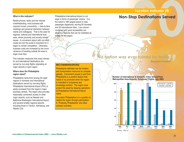#### *What is this indicator?*

Mobile phones, faxes and the Internet notwithstanding, most business still requires human connectivity — face-to-face meetings and personal interaction between clients and colleagues. That is the case for regional, national and international business, where proximity and access remain<sup>56</sup> issues. A convenient airport with non-stop routes all over the world is important for a region to remain competitive. Otherwise, business costs are increased by the inconvenience of traveling outside the area to begin most trips.

This indicator measures how many domestic and international destinations areserved by non-stop flights originating at major airports in each region.

#### *Where does the Philadelphia region stand?*

Philadelphia ranks third among the eight regions in domestic and international destinations served by non-stop flights. Philadelphia International Airport (PHL) is easily accessed from the region's major business centers. The region also provides reasonably convenient access to other major airports, such as Newark and Baltimore-Washington International Airport, and several smaller regional airports, including those in Trenton, Harrisburg, and Atlantic City.

Philadelphia International Airport is not large in terms of passenger volume. It is the nation's 19th largest airport in total passenger departures, serving 85 domestic and 26 international cities. Low volumecombined with good accessibility are attractive features that can be marketed asassets for the region.

#### *RECOMMENDATIONS*

Philadelphia definitely has the location and transportation resources to compete globally. Convenient access to and from Philadelphia is a positive feature that needs to be promoted when the region is marketed to companies and knowledge workers. The region must protect this asset by keeping operations at Philadelphia International Airport viable.

Innovation Philadelphia is in a position to market the region through participation in "Positively Philadelphia" and other outreach activities.

**20**<br>**20D** Destinations Served<br>**20 Non-Stop Destinations Served**

## **17 Adtion was ever fuined by trade.**<br>**Benjamin Franklin**

#### **Number of International & Domestic Cities Served fromMetropolitan Area Airports; Scheduled Flights July 2002**



**Innovation & Entrepreneurial Index 2002 — www.IPphila.com**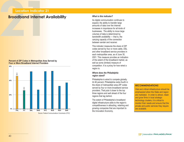# **21Location Indicator 21 Broadband Internet Availability** *What is this indicator?*

#### **Percent of ZIP Codes in Metropolitan Area Served by Four or More Broadband Internet Providers**



As digital communication continues to expand, the ability to transfer large amounts of data over the Internetincreases in importance for all kinds of businesses. The ability to move large volumes of data is determined by bandwidth availability — that is, the carrying capacity of the connection between sender and receiver.

This indicator measures the share of ZIPcodes served by four or more cable, DSL and other broadband service providers in each metropolitan area, as of June 30, 2001. This measure provides an indication of the extent of the broadband market, as well as some (limited) measure of competition. It is a proxy for how wired a region is.

#### *Where does the Philadelphia region stand?*

Philadelphia is wired to compete globally. At 46 percent, Philadelphia ranks fourth in the share of metropolitan area ZIP codes served by four or more broadband service providers. That puts it closer to the top three regions and well ahead of the four regions that lag behind.

The extent of Philadelphia's broadband digital infrastructure adds to the region's competitiveness in attracting, retaining and growing companies that are important to

#### *RECOMMENDATIONS*

Vital and critical infrastructure should beemphasized when the State and region are marketed. In order to attract, retain and grow firms in local strategic technology clusters, it is critical to monitor their needs and ensure that the private and public services they require are available.

......................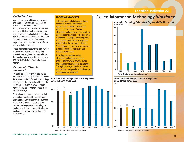#### *What is this indicator?*

Increasingly, the world is driven by greater and more sophisticated skills. A skilled workforce is an asset to a region's economy and adds to its competitiveness and the ability to attract, retain and grow new businesses, particularly those that are vital to the Innovation Economy. From the perspective of employees, the level of wages relative to other regions is a factor in regional attractiveness.

These indicators measure the total numberof skilled information-technology (IT) scientists and engineers in the workforce, that number as a share of total workforceand the average hourly wage for those workers.

#### *Where does the Philadelphia region stand?*

Philadelphia ranks fourth in total skilled information-technology workers and fifth in the share of skilled information-technology employees in the regional workforce. The region ranked fourth in average hourly wages for skilled IT workers, close to the national average.

Philadelphia is closer to the regions that rank below it in skilled IT workers and theshare of total workforce than it is to thoseahead of it for those measures. Thatcreates challenges when marketing the local region. It also creates difficulties for local companies that have skilled hiring requirements.

#### *RECOMMENDATIONS*

Collaborative efforts between industry, academia and the public sector to aggressively market the State's and region's concentration of skilled information technology workers must be made in order to attract, retain and grow businesses. Average hourly wages are at parity with the national average and slightly below the average for Boston, Washington metro and New York region is another asset for employers that needs to be stressed.

Attracting and retaining skilled information technology workers is another activity where private, public and academic organizations collaborate. The region's image must be enhanced and positive quality-of-life attributes must be aggressively marketed.

**Information Technology Scientists & Engineers: Average Hourly Wage, 2000**



#### **Skilled Information Technology Workforce**



**Information Technology Scientists & Engineers: Share of Workforce, 2000**



*Source: U.S. Department of Labor, Carnegie Mellon*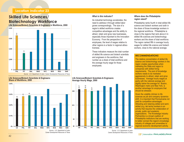#### **Location Indicator 23**

#### **Skilled Life Sciences/ Biotechnology Workforce**

**Life Sciences/Biotech Scientists & Engineers in Workforce, 2000**



#### **Life Sciences/Biotech Scientists & Engineers: Share of Workforce, 2000**



#### *What is this indicator?*

As industrial technology accelerates, the need to address it through skilled labor grows correspondingly. The size of a region's skilled workforce creates competitive advantages and the ability to attract, retain and grow new businesses, especially those important to the Innovation Economy. From the perspective of employees, the level of wages relative to other regions is a factor in regional attractiveness.

These indicators measure the total numberof skilled life science and biotech scientistsand engineers in the workforce, that number as a share of total workforce andthe average hourly wage for those employees.

#### **Life Sciences/Biotech Scientists & Engineers: Average Hourly Wage, 2000**



#### *Where does the Philadelphia region stand?*

Philadelphia ranks fourth in total skilled life science and biotech workers and sixth inthe share of those knowledge workers in the regional workforce. Philadelphia is close to the regions that rank above it in skilled life sciences and biotechnology workers and the share of total workforce.The region ranked fifth in average hourly wages for skilled life science and biotech workers, close to the national average.

#### *RECOMMENDATIONS*

The relative concentration of skilled lifescience and biotechnology workers in the region creates opportunities when marketing the State and region to companies with skilled hiring requirements. The pool of knowledge workers needs to be marketedaggressively to attract, retain and grow businesses. Average hourly wages at parity with the national average and slightly below the average for Boston, Washington metro and New York, is another advantage for employers that should be stressed.

Given the volatility intrinsic to life sciences as job and company dynamics shift, it is important that Pennsylvania not yield its competitive advantages. Attracting and retaining skilled and semiskilled (e.g. lab techs) workers is an activity that requires the collaboration of private, public and academic organizations. The Knowledge Industry Partnership is a broad coalition of Philadelphia institutions that are working to better connect the region's knowledge industry of colleges and universities to regional economic development activity.

#### $\mathbf{IP}$  | innovation PHILADELPHIA<sup>®</sup>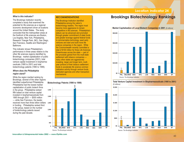#### *What is this indicator?*

The Brookings Institution recently completed a study that examined the potential for life sciences as a regional economic development driver at locations around the United States. The study concluded that the metropolitan areas at the forefront of life sciences are Boston, Los Angeles, New York, Philadelphia, Research Triangle Park, (NC), San Diego, San Francisco, Seattle and Washington/ **Baltimore** 

This indicator shows Philadelphia's performance in three areas relative to the other life sciences regions identified by Brookings: market capitalization of public biotechnology companies (2001), total venture capital investment in biopharmaceuticals (1995 to 2001) and total biotechnology patents (1990 to 1999).

#### *Where does the Philadelphia region stand?*

While the region merited ranking by Brookings, several of the other regions identified outperformed Philadelphia. Philadelphia had the lowest market capitalization of public biotech firms in the group. Philadelphia ranked fifth based on total venture capital invested in biopharmaceuticals from 1995 through 2001 — \$500 million — while San Francisco, the leader, received more than three billion dollars **2,800** in funding. Philadelphia ranked third in the group, based on the number of biotechnology patents issued during the past decade.

#### *RECOMMENDATIONS*

The Brookings Institution identified Philadelphia among the nation's biotechnology leaders. The region must become more aggressive to remain competitive in life sciences. Philadelphia's stature can be advanced and promoted through greater commitment of state funds and greater leverage against federal funds to commercialize technology, seed early ventures and start and build more lifescience companies in the region. While the Commonwealth recently committed a total of \$100 million for three Life Sciences Greenhouses across the state — part of the proceeds gained from the multi-state settlement with tobacco companies many other states are aggressively investing larger and longer term, multiyear portions of their tobacco settlement funds to accelerate life science commercialization activity through venture funds, dedicated agencies and other transaction mechanisms.



#### **Brookings Biotechnology Rankings**



**Total Venture Capital Investment in Biopharmaceuticals (1995 to 2001)** *(\$ millions)*

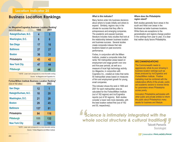#### **Business Location Rankings** *What is this indicator?*

| <b>Location Indicator 25</b>                                                                                |      |      |  |
|-------------------------------------------------------------------------------------------------------------|------|------|--|
| <b>Business Location Ranking</b><br>Inc Magazine/Cognetics Business Location Ranking*<br>(out of 50 cities) | 1999 | 2001 |  |
| Raleigh/Durham, N.C.                                                                                        | 4    | 3    |  |
| <b>Washington, D.C.</b>                                                                                     | 6    | 6    |  |
| <b>San Diego</b>                                                                                            | 17   | 16   |  |
| <b>Baltimore</b>                                                                                            | 27   | 27   |  |
| <b>Boston</b>                                                                                               | 36   | 31   |  |
| Philadelphia                                                                                                | 43   | 42   |  |
| <b>New York City</b>                                                                                        | 47   | 44   |  |
| <b>Pittsburgh</b>                                                                                           | 44   | 46   |  |

*\* NOTE: Lower rank corresponds to a more favorable ranking Source:* Inc Magazine *and* Cognetics Inc.

| Forbes/Milken Institute Business Location Ranking*<br>2002<br>1999<br>(Out of 162 cities) |     |     |  |  |
|-------------------------------------------------------------------------------------------|-----|-----|--|--|
| <b>San Diego</b>                                                                          | 12  | 1   |  |  |
| Raleigh/Durham, N.C.                                                                      | 18  | 20  |  |  |
| <b>Washington, D.C.</b>                                                                   | 21  | 28  |  |  |
| <b>Boston</b>                                                                             | 29  | 45  |  |  |
| <b>Baltimore</b>                                                                          | 137 | 81  |  |  |
| Philadelphia                                                                              | 84  | 116 |  |  |
| <b>Pittsburgh</b>                                                                         | 111 | 132 |  |  |
| <b>New York City</b>                                                                      | 48  | 152 |  |  |

*\* NOTE: Lower rank corresponds to a more favorable ranking Source:* Forbes Magazine and Milken Institute

Many factors enter into business decisions about where to locate initially and where to expand. Similarly, regions vary in the climate for success that they offer to entrepreneurs and emerging companies. The academic and popular business literature includes many studies that look at the relationship between business location and business success. Several studiescreate composite indexes that rate locations based on past economic performance.

*Forbes,* in conjunction with the Milken Institute, created a composite index that ranks 162 metropolitan areas based on employment and wage growth over oneand five-year periods, as well as a measure of local high technology activity. *Inc Magazine*, in conjunction with Cognetics Inc., created an index that ranks 50 metropolitan areas based on measures of firm and employment growth for young, small companies.

This indicator shows the rank in 1999 and2001 for each metropolitan area as calculated for the *Forbes*/Milken Institute(out of 162 regions) and *Inc*/Cognetics reports (out of 50 regions). Both studies consider a lower rank more desirable, with the best location ranked first (out of 162 and 50, respectively).

#### *Where does the Philadelphia region stand?*

Both studies generally favor areas in the south and West over areas in theNortheast as better business locations.While there are exceptions to the generalization and regions change position in the rankings from year to year, it is clear that neither study favors Philadelphia.

#### *RECOMMENDATIONS*

The Commonwealth needs toaggressively refute its poor showing in business location rankings such as those produced by *Inc*/Cognetics and *Forbes/*Milken Institute. Positivemarketing must be combined with the collaborative efforts of the private, public and academic sectors to reverse trends for parameters where Philadelphia scores poorly.

Innovation Philadelphia participates with other public and private entities to inform the public about Philadelphia's many assets for business and lifestyle.

**Extence is intimately integrated with the<br>whole social structure & cultural tradition,** *Science is intimately integrated with the whole social structure & cultural tradition.*

**Talcott ParsonsSociologist**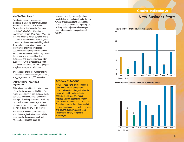#### **New Business Starts**

#### *What is this indicator?*

New businesses are an essentialingredient of what the economist Joseph Schumpeter described as *Creative Destruction*, or the "essential fact about capitalism" *(Capitalism, Socialism and Democracy; Harper: New York, 1975).* For the local region to remain dynamic and to compete in the Innovation Economy, newbusiness starts are an essential ingredient. They embody innovation. Through the identification of new or overlookedopportunities and the application of new ideas, new businesses continuously refresh the economy, replacing old or declining businesses and creating new jobs. New businesses, which almost always begin under risky conditions, are also a gauge of a region's entrepreneurial climate.

This indicator shows the number of newbusinesses started in each region in 2001, in aggregate and per 1,000 population.

#### *Where does the Philadelphia region stand?*

Philadelphia ranked fourth in total number of new businesses created in 2001. Theregion ranked sixth in new business starts per 1,000 population, below the national average. Examining the data for each city by firm size, based on employment and revenue, shows no significant variation in the mix of starts for any of the locations.

The relatively low number of business starts in the region is of concern. While many new businesses are small and neighborhood oriented (such as

restaurants and dry cleaners) and are closely linked to population trends, the low number of business starts can indicatechallenges when it comes to replacing old, declining industry jobs with knowledgebased future-oriented companies and workers.

#### *RECOMMENDATIONS*

New business starts must be raised inthe Commonwealth through the collaborative efforts of organizations in the private, public and academic sectors. The Philadelphia region requires a global positioning strategy with respect to the Innovation Economy. Once that is established, there needs to be an education process, within the area and beyond, to inform people about Philadelphia's many competitive advantages.



#### **New Business Starts in 2001 per 1,000 Population**

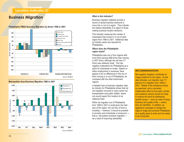### **Business Migration** *Business Migration Business migration statistics provide a*

#### **Philadelphia PMSA Business Migration by Sector 1998 to 2001**



#### **2,000** *Business In Business Out***1,500** *Net Gain/Loss***1,000** 627 Number of Businesses Number of Businesses **500**248 62 -71 -186 **-500**-698 **-1,000 -1,500 -2,000 PHL PIT BAL WAS NYC BOS RDU SAN***Source: BizMiner*

**Metropolitan Area Business Migration 1998 to 2001**

record of actual business decisions tomove into or out of a region. They indicate the relative desirability of a region to those making business location decisions.

This indicator measures the number ofbusinesses that moved in or out of eachregion from 1998 to 2001. Additional data by industry sector are reported for Philadelphia.

#### *Where does the Philadelphia region stand?*

Philadelphia was one of four regions with more firms leaving (698 firms) than moving in (627 firms), although the net loss (71 firms) was relatively small. This has negative implications for Philadelphia as a place for businesses to locate. Based on either employment or revenues, there appear to be no differences in the mix of firms moving in or out of Philadelphia, as compared with the other benchmark regions.

A detailed look at business migration data by industry for Philadelphia shows that net out migration occurred in every sector but transportation and public utilities, where one would expect firm location to be relatively fixed.

While net migration out of Philadelphia from 1998 to 2001 is small given the total size of the region, the net loss of firms is troubling — however, it should be possible to envision and orchestrate a turnaround that is, net positive business migration as a result of improving desirability.

#### *RECOMMENDATIONS*

Net negative migration contributes to image problems for the region. As the data indicates, out migration was 111 percent of in migration from 1998 to 2001. Details of the imbalance shouldbe examined, and a concerted collaborative effort by the public, private and academic sectors should be madeto reverse the trend by addressing specific issues — such as costs of doing business and quality-of-life — where they are identified. In addition, an aggressive campaign to change the region's image and promote Philadelphia as a quality place to work and live needs to be conducted.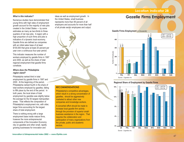#### *What is this indicator?*

Numerous studies have demonstrated thatyoung firms with high rates of employment growth account for the majority of new jobs created in the United States — by some estimates as many as two-thirds to threequarters of net new jobs. A region with a high proportion of such firms and jobs is indicative of a dynamic local economy. Gazelle firms are defined as companies with an initial sales base of at least\$100,000 that grow at least 20 percent per year over a continuous four-year period.

This indicator measures the number ofworkers employed by gazelle firms in 1997 and 2000, as well as the share of total regional employment that gazelle firms constitute.

#### *Where does the Philadelphia region stand?*

Philadelphia ranked third in total employment by gazelle firms in 1997 and 2000. At the beginning of the period, Philadelphia ranked fourth in the share of total workers employed by gazelles, falling to fifth place by the end of the period. In both years, the local share of total employment by gazelles was slightly below the average for the 50 largest metropolitan areas. That reflects the composition of Philadelphia's employment mix, with older, larger firms accounting for the largest share of total employment.

There is nothing wrong with a large employment base inside mature firms, however the more entrepreneurial components of the Innovation Economy rely on gazelles and other small, rapidly growing businesses for innovation and

ideas as well as employment growth. In the United States, small business represents more than 99 percent of all employers and accounts for more than half of all private sector employees and output.

#### *RECOMMENDATIONS*

Philadelphia's competitive advantages, which result in a strong concentration of gazelles, should be aggressively marketed to attract other newcompanies and knowledge workers.

A concerted effort should be made to increase local gazelle firm activity through the provision of superior smallbusiness assistance in the region. That requires the collaboration and participation of many organizations from the private, public and academic sectors.





#### **Regional Share of Employment by Gazelle Firms**

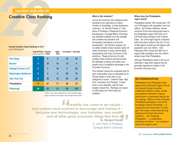# **29Location Indicator 29 Creative Class Ranking**

#### **Overall Creative Class Ranking in U.S.\*** *(out of 268 regions)*

| (out of 268 regions)        | <b>Overall Rank Creative</b><br>(1 million+ population) Class |                         | High<br><b>Tech</b> | <b>Innovation Diversity</b> |     |
|-----------------------------|---------------------------------------------------------------|-------------------------|---------------------|-----------------------------|-----|
| <b>San Diego</b>            | 3                                                             | 6                       | $\overline{2}$      | 12                          | 41  |
| <b>Boston</b>               | 4                                                             | 30                      | 14                  | 13                          | 4   |
| Raleigh-Durham, N.C.        | $6\phantom{a}$                                                | 5                       | 16                  | 8                           | 52  |
| <b>Washington-Baltimore</b> | 8                                                             | $\overline{\mathbf{4}}$ | 5                   | 85                          | 18  |
| <b>New York City</b>        | 9                                                             | 25                      | 15                  | 54                          | 20  |
| Philadelphia                | 17                                                            | 27                      | 17                  | 36                          | 70  |
| <b>Pittsburgh</b>           | 36                                                            | 53                      | 31                  | 50                          | 210 |

*Source:* The Rise of the Creative Class, *Richard Florida, 2002 \* NOTE: Lower rank corresponds to a more favorable ranking*

#### *What is this indicator?*

Just as the economy has undergone past transitions from agriculture to heavy industry to knowledge, so that progression continues. Dr. Richard Florida, H. John Heinz III Professor of Regional Economic Development, Carnegie Mellon University, has identified creativity as a key strength that underlies the transition andincreasingly contributes to economic development. By Florida's analysis, the so-called Creative Class includes nearly 38 million Americans in many diverse fields, representing more than 30 percent of the workforce. Regions that are rich with Creative Class workers and that provide the attributes to attract and retain suchpeople hold a competitive advantage in the Innovation Economy.

This indicator shows the composite rank for each metropolitan area as calculated by Dr. Florida based on their rank in fourcategories of inputs: Creative Class, High Tech, Innovation and Diversity. A lower rank is more desirable, with the best location ranked first. Rankings are based on 268 regions for which data are available.

*Where does the Philadelphia region stand?*

Philadelphia ranked 19th overall (and 17th out of 49 regions with population over one million). By Florida's definition, almost one-third of the local employment base in the Philadelphia region (927,000 out of 2,879,000 jobs) belongs to the Creative Class. Six of the eight regions compared within this study ranked in the top 10 (out of 268 regions overall and 49 regions with population over one million). Only Pittsburgh (57th overall and 36th out of regions with population over one million) ranked lower than Philadelphia.

Although Philadelphia ranks in the top 20 nationally, it lags other regions that are generally regarded as leaders in the Innovation Economy race.

#### *RECOMMENDATIONS*

Philadelphia's and Pittsburgh's ranks against other benchmark regions should be improved through concerted collaborative efforts by public, private and academic elements to improve performance on parameters that go into the rankings. Efforts in which Innovation Philadelphia participates, such as the Knowledge Industry Partnership — to change the local "brain drain" to "brain gain" and create a world-class life long learning environment and diverse workforce — and "Positively Philadelphia" — a collaborative marketing consortium — are working to improve the region's rank.

*"Creativity has come to be valued –* and all other good economic things flow from it. *and systems have evolved to encourage and harness it – " because new technologies, new industries, new wealth and all other good economic things flow from it.* **Dr. Richard Florida**

H. John Heinz III ProfessorCarnegie Mellon University

......................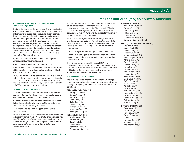#### *The Metropolitan Area (MA) Program, MAs and MSAs: Regional Building Blocks*

The Federal government's Metropolitan Area (MA) program has been in existence since the 1950 decennial Census, to ensure the quality and consistency of statistical data produced by Federal agencies. The concept underlying Metropolitan Areas is that of a core area containing a large population concentration along with adjacent communities that have a high degree of economic and social integration to the core. In general, entire counties form the MA building blocks, except in New England, where cities and towns are the basic geographic units. The current definitional standards were published in the Federal Register on December 27, 2000, by the Office of Management and Budget (OMB), in accordance with the results of the 2000 decennial census.

By 1990, OMB standards defined an area as a Metropolitan Statistical Area (MSA) in one of two ways:

1. If it included a city of at least 50,000 population, OR

2. If it included a Census Bureau-defined urbanized area (of at least 50,000 population) with a total metropolitan population of at least 100,000 (75,000 in New England).

An MSA may include additional counties that have strong economic and social ties to the central county or counties containing the main city or urbanized area. The ties are determined chiefly by census data on commuting to work. MSAs may contain more than one city of 50,000 population and may cross state lines.

#### *CMSAs and PMSAs: Where We Fit In*

An area that meets the requirements for recognition as an MSA but also has a total population of one million or more may be recognized as a Consolidated Metropolitan Statistical Area (CMSA) if:

1. Separate component areas can be identified within the entire area that meet specified statistical criteria as an MA (i.e., central urban core, economic and social integration), AND

2. Local opinion indicates there is support for the separate component areas.

If recognized, the separate component areas are designated Primary Metropolitan Statistical Areas (PMSA), and the entire areas becomes a CMSA. CMSAs, by definition, always have one million population or more. However, if no PMSAs are recognized, the entire area is designated an MSA. Another way to think of CMSAs is as contiguous or linked MSAs.

MAs are titled using the names of their largest, central cities, which are designated under the standards for each MA and CMSA. Up to three city names may appear in a title. Titles of most PMSAs also are based on central city names, but in certain cases consist of county names. Titles of CMSAs generally are based on the names of the MAs or CMSAs to which they pertain.

Thus, the Philadelphia, Pennsylvania-New Jersey PMSA, as it is officially designated, is part of the Philadelphia-Wilmington-Atlantic City CMSA, which includes counties in Pennsylvania, New Jersey, Delaware and Maryland. The larger CMSA regional designation holds because:

1. The entire region has population greater than one million, AND

2. There are multiple separate and identifiable urban cores, all tied together as part of a larger economic entity, based on census data on commuting to work.

The Philadelphia, Pennsylvania-New Jersey PMSA, which corresponds to the region described throughout this publication, is designated as a PMSA because it represents one of the urban cores — Philadelphia County — and the surrounding, economic and socially integrated counties in the larger CMSA.

#### *MAs Compared in this Publication*

The Metropolitan Areas considered in this publication, including their component counties (and other geographic areas, where indicated primarily New England), are listed below. Abbreviations are listed in parentheses:

#### **Philadelphia, PA-NJ PMSA (PHL):**

Burlington County, NJ Camden County, NJ Gloucester County, NJ Salem County, NJ Bucks County, PA Chester County, PA Delaware County, PA Montgomery County, PA Philadelphia County, PA

#### **Pittsburgh, PA MSA (PIT):**

Allegheny County, PA Beaver County, PA Butler County, PA Fayette County, PA Washington County, PA Westmoreland County, PA

#### **Metropolitan Area (MA) Overview & Definitions**

#### **Baltimore, MD PMSA (BAL):**

Anne Arundel County, MD Baltimore County, MD Carroll County, MD Harford County, MD Howard, Maryland Queen Annes County, MD Baltimore (independent city), MD

#### **Washington, DC-MD-VA-WV PMSA (WAS):**

District of Columbia Calvert County, MD Charles County, MD Frederick County, MD Montgomery County, MD Prince Georges County, MD Arlington County, VA Clarke County, VA Culpeper County, VA Fairfax County, VA Fauquier County, VA King George County, VA Loudoun County, VA Prince William County, VA Spotsylvania County, VA Stafford County, VA Warren County, VA Alexandria city, VA Fairfax (city), VA Falls Church (city), VA Fredericksburg (city), VA Manassas (city), VA Manassas Park (city), VA Berkeley County, WV Jefferson County, WV

#### **New York, NY PMSA (NYC):**

Bronx County, NY Kings County, NY New York County, NY Putnam County, NY Queens, NY Richmond County, NY Rockland County, NY Westchester County, NY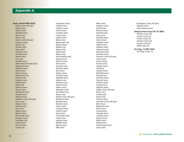#### **Appendix A**

#### **Boston, MA-NH PMSA (BOS):**

Bristol County, MA (part): Berkley (town) Dighton (town) Mansfield (town) Norton (town) Taunton (city) Essex County, MA (part): Amesbury (town) Beverly (city) Danvers (town) Essex (town) Gloucester (city) Hamilton (town) Ipswich (town) Lynn (city) Lynnfield (town) Manchester-by-the-Sea (town) Marblehead (town) Middleton (town) Nahant (town) Newbury (town) Newburyport (city) Peabody (city) Rockport (town) Rowley (town) Salem (city) Salisbury (town) Saugus (town) Swampscott (town) Topsfield (town) Wenham (town) Middlesex County, MA (part): Acton (town) Arlington (town) Ashland (town) Ayer (town) Bedford (town) Belmont (town) Boxborough (town) Burlington (town) Cambridge (city) Carlisle (town) Concord (town) Everett (city)

Framingham (town) Holliston (town) Hopkinton (town) Hudson (town) Lexington (town) Lincoln (town) Littleton (town) Malden (city) Marlborough (city) Maynard (town) Medford (city) Melrose (city) Natick (town) Newton (city) North Reading (town) Reading (town) Sherborn (town) Shirley (town) Somerville (city) Stoneham (town) Stow (town) Sudbury (town) Townsend (town) Wakefield (town) Waltham (city) Watertown (city) Wayland (town) Weston (town) Wilmington (town) Winchester (town) Woburn (city) Norfolk County, MA (part): Bellingham (town) Braintree (town) Brookline (town) Canton (town) Cohasset (town)| Dedham (town) Dover (town) Foxborough (town) Franklin (city) Holbrook (town) Medfield (town) Medway (town) Millis (town)

Milton (town) Needham (town) Norfolk (town) Norwood (town) Plainville (town) Quincy (city) Randolph (town) Sharon (town) Stoughton (town) Walpole (town) Wellesley (town) Westwood (town) Weymouth (town) Wrentham (town) Plymouth County, MA (part): Carver (town) Duxbury (town) Hanover (town) Hingham (town) Hull (town) Kingston (town) Marshfield (town) Norwell (town) Pembroke (town) Plymouth (town) Rockland (town) Scituate (town) Wareham (town) Suffolk County, MA (part): Boston (city) Chelsea (city) Revere (city) Winthrop (town) Worcester County, MA (part): Berlin (town) Blackstone (town) Bolton (town) Harvard (town) Hopedale (town) Lancaster (town) Mendon (town) Milford (town) Millville (town) Southborough (town) Upton (town)

Rockingham County, NH (part): Seabrook (town) South Hampton (town)

#### **Raleigh-Durham-Chapel Hill, NC (MSA):**

Chatham County, NC Durham County, NC Franklin County, NC Johnston County, NC Orange County, NC Wake County, NC

**San Diego, CA MSA (SAN):**

San Diego County, CA

. . . . . . . . . . . . . . . .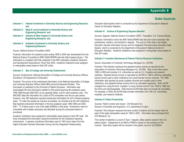#### **Data Sources**

- **Indicator 1: Federal Investment in University Science and Engineering Research; and**
- **Indicator 2: State & Local Investment in University Science and Engineering Research; and**
- **Indicator 3: Industry & Other Support in University Science and Engineering Research; and**

#### **Indicator 4: Academic Investment in University Science and Engineering Research**

#### *Source: National Science Foundation (NSF)*

Footnote: Information for academic years ending 1995 to 2000 was downloaded from the National Science Foundation's (NSF) WebCASPAR web site (http://caspar.nsf.gov.) The information is consistent with that contained in the NSF publication *Academic Research and Development Expenditures: Fiscal Year 2000*. Academic institutions were assigned to metropolitan areas based on their ZIP codes.

#### **Indicator 5: Size of College and University Endowments**

*Sources: Endowments: National Association of College and University Business Officers. Enrollment: US Department of Education*

Footnote: The source of the endowment information is the National Association of College and University Business Officers (NACUBO) annual Endowment Studies. This information is published by the Chronicle of Higher Education. Information was downloaded from the Chronicle's website for the period spanning the academic years 1995-1996 through 2000-2001 as six separate tables, one for each academic year. The NACUBO data has information for a total of 678 universities over this six year period. However, only 365 institutions reported endowment information for all 6 of these academic years. To make the sample as inclusive as possible, we included only the 424 institutions that reported endowment information in the two academic years 1995-1996 and 2000- 2001. 77 of these were in one of the eight (P)MSAs in this study. Endowment value for universities with multiple campuses was allocated among the campuses based on enrollment.

Academic institutions were assigned to metropolitan areas based on their ZIP code. We have normalized this information using the enrollment for the institutions reporting endowments. In general, enrollment information was for 1997 and is taken from the Higher Education General Information Survey and the Integrated Postsecondary

Education Data System which is conducted by the Department of Education's National Center for Education Statistics.

#### **Indicator 6: Science & Engineering Degrees Awarded**

*Sources: Degrees: National Science Foundation (NSF); Population: U.S. Census Bureau*

Footnote: Information is from the NSF WebCASPAR web site and covers doctorate, first professional, master's, and bachelor's degrees. The source of this data is the Higher Education General Information Survey and the Integrated Post-Secondary Education Data System, which is conducted by the Department of Education's National Center for Education Statistics. Academic institutions were assigned to metropolitan areas based on their ZIP codes.

#### **Indicator 7: Invention Disclosures & Patents Filed by Research Institutions**

*Source: Association of University Technology Managers Inc. (AUTM)*

Footnote: This indicator measures the adjusted license income as reported by the Association of University Technology Managers Inc. (AUTM). Data covers fiscal years 1995 to 2000 and includes U.S. universities as well as U.S. hospitals and research institutes. Adjusted license income is calculated by AUTM for 1996 to 2000 by subtracting license income paid to other institutions from gross license income received. The 1995 information was reported as gross royalties received and royalties paid to other institutions, and adjusted license income had to be calculated separately. Note: AUTM changed from using the term "royalties" to using "license income" from 1995 to 1996, but the terms are interchangeable. Note that the AUTM data does not include all universities. For example, in 2000, the AUTM data includes information from 168 U.S. universities, hospitals, and research institutes.

#### **Indicator 8: Patent Productivity**

*Sources: Patent number and impact: CHI Research Inc. Number of Scientists and Engineers: U.S. Department of Labor.*

Footnote: This indicator measures the total number of patents and the impact index for each of the eight metropolitan areas for 1992 to 2001. Information was purchased from CHI Research, Inc.

The number of patents is a count of Type 1 (regular, utility) patents issued in the U.S. patent system. Assignment to an MSA or PMSA is based on the residence of the inventor. Note that a patent will be included in the patent count for all (P)MSAs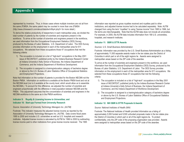#### **Appendix B**

represented by inventors. Thus, in those cases where multiple inventors are not all from the same (P)MSA, the same patent may be counted in more than one (P)MSA (http://www.chiresearch.com/about/data/tech/tlbp4.php3> for more detail.)

To derive the relative productivity of researchers in each metropolitan area, we divided the total number of patents by the number of scientists and engineers present in the workforce. To arrive at the number of scientists and engineers present in the workforce, we used information from the Occupational Employment Statistics (OES) Survey, produced by the Bureau of Labor Statistics, U.S. Department of Labor. The OES Survey provides information on the employment in each of the metropolitan area for 611 occupations. We selected from these occupations those 47 occupations that met the following criteria:

- 1) The occupation is included on a list of "high-tech" occupations in the May 2001 issue of INCONTEXT, published jointly by the Indiana Business Research Center at Indiana University's Kelly School of Business, the Indiana Department of Commerce, and the Indiana Department of Workforce Development.
- 2) The occupation is assigned to a training/education category of bachelors degree or above by the U.S. Bureau of Labor Statistics Office of Occupational Statistics and Employment Projections.

Note that information on the number of patents is provided for the Boston NECMA not the Boston PMSA. Information on workforce is available at the Boston PMSA level and not at the NECMA level (nor is it available at the county level, which would allow us to assemble the NECMA.) To account for this difference, we adjusted the number of scientists and engineers proportionally with the difference in total population between NECMA and the PMSA. This adjustment assumes that the concentration of scientists and engineers in the NECMA workforce is the same as in the PMSA workforce.

#### **Indicator 9: Royalty & Licensing Income to Universities; and Indicator 10: Start-ups Formed from University Research**

#### *Source: Association of University Technology Managers Inc. (AUTM)*

Footnote: This indicator measures the adjusted license income as reported by the Association of University Technology Managers Inc. (AUTM). Data covers fiscal years 1995 to 2000 and includes U.S. universities as well as U.S. hospitals and research institutes. Adjusted license income is calculated by AUTM for 1996 to 2000 by subtracting license income paid to other institutions from gross license income received. The 1995

information was reported as gross royalties received and royalties paid to other institutions, and adjusted license income had to be calculated separately. Note: AUTM changed from using the term "royalties" to using "license income" from 1995 to 1996, but the terms are interchangeable. Note that the AUTM data does not include all universities. For example, in 2000, the AUTM data includes information from 168 U.S. universities, hospitals, and research institutes.

#### **Indicator 11: SBIR & STTR Awards**

#### *Sources: U.S. Small Business Administration*

Footnote: Information was provided by the U.S. Small Business Administration as a listing of approximately 11,000 separate awards made in the ten states plus the District of Columbia in which part or all of the eight regions lie. Awards were assigned to metropolitan areas based on the ZIP code of the awardee.

To arrive at the number of scientists and engineers present in the workforce, we used information from the Occupational Employment Statistics (OES) Survey, produced by the Bureau of Labor Statistics, U.S. Department of Labor. The OES Survey provides information on the employment in each of the metropolitan area for 611 occupations. We selected from these occupations those 47 occupations that met the following criteria:

- 1) The occupation is included on a list of "high-tech" occupations in the May 2001 issue of INCONTEXT, published jointly by the Indiana Business Research Center at Indiana University's Kelly School of Business, the Indiana Department of Commerce, and the Indiana Department of Workforce Development.
- 2) The occupation is assigned to a training/education category of bachelors degree or above by the U.S. Bureau of Labor Statistics Office of Occupational Statistics and Employment Projections.

#### **Indicator 12: NIH SBIR & STTR Proposals & Awards**

#### *Source: National Institutes of Health (NIH)*

Footnote: The National Institutes of Health provided Information as a listing of approximately 5,550 funded and 9,500 unfunded proposals made in the ten states plus the District of Columbia in which part or all of the eight regions lie. To protect confidentiality, only the ZIP code of the proposing organization was provided. Awards were assigned to metropolitan areas based on the ZIP code of the awardee.

.....................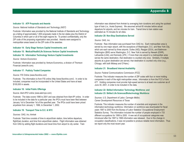#### **Indicator 13: ATP Proposals and Awards**

#### *Source: National Institute of Standards and Technology (NIST)*

Footnote: Information was provided by the National Institute of Standards and Technology as a listing of approximately 1,600 proposals made in the ten states plus the District of Columbia in which part or all of the eight regions lie. To protect confidentiality, only the ZIP code of the proposing organization was provided. Awards were assigned to metropolitan areas based on the ZIP code of the awardee.

#### **Indicator 14: Early Stage Venture Capital Investments; and**

#### **Indicator 15: Medical/Health/Life Sciences Venture Capital Investments**

#### **Indicator 16: Information Technology Venture Capital Investments**

#### *Source: Venture Economics*

Footnote: Information was provided by Venture Economics, a division of Thomson Financial (www.tfn.com).

#### **Indicator 17: Publicly Traded Companies**

#### *Source: FIS Online (www.fisonline.com)*

Footnote: The information is from FIS online (http://www.fisonline.com/). In order to be included, companies must be incorporated in the United States and have at least \$100,000 in assets.

#### **Indicator 18: Initial Public Offerings**

#### Source: *Alert-IPO! online (ww*w.alert-ipo.com)

Footnote: The data covers 1996 to 2001 and was obtained from Alert-IP! online. In order to be included in the data for a particular year, the IPO's must have been filed between January 1st to December 1st of the specified year. The IPOs could have been priced anywhere from January 1, 1996, to December 1, 2002.

#### **Indicator 19: Transport Time to D.C. & NYC**

#### *Sources: OAG, Inc; Amtrak*

Footnote: Total time consists of time to airport/train station, time before departure, flight/train duration, and time from airport/train station. Flight information was obtained from OAG by adding flight durations and travel time from airport to city center. Train

information was obtained from Amtrak by averaging train durations and using the quickest type of train (i.e., Acela Express). We assumed arrival 60 minutes before actual departure for airports, and ten minutes for train. Transit time to train station was estimated as 15 minutes for all cities.

#### **Indicator 20: Non-Stop Destinations Served**

#### *Source: OAG, Inc.*

Footnote: Raw information was purchased from OAG Inc. Each metropolitan area is served by one major airport, with the exceptions of Washington, D.C. and New York City, which are each served by three airports. Dulles (IAD), Reagan (DCA), and Baltimore-Washington (BWI) serve Washington, D.C. New York is served by Newark (EWR), LaGuardia (LGA), and Kennedy (JFK.) If more than one airport in a metropolitan area serves the same destination, that destination is counted only once. Similarly, if multiple airports at a given destination are served, that destination is counted only once (e.g., Chicago, with both Midway and O'Hare.)

#### **Indicator 21: Broadband Internet Availability**

#### *Source: Federal Communications Commission (FCC)*

Footnote: This indicator measures the number of ZIP codes with four or more holding companies in each of the eight metropolitan areas. Information is from the FCC's Form 477. Holding companies must provide high-speed service to at least one customer as of June 30, 2001, in order to be included in the data.

#### **Indicator 22: Skilled Information Technology Workforce; and Indicator 23: Skilled Life Sciences/Biotechnology Workforce**

*Sources: U.S. Department of Labor, Carnegie Mellon, Career Development Resources of Texas*

Footnote: This indicator measures the number of scientists and engineers in the information-technology workforce. Information on workforce was downloaded for fiscal years 1997 to 2000 from the Bureau of Labor Statistics' Occupational Employment Statistics Survey. The information included the number of people employed in 733 different occupations for 1999 to 2000. A new set of occupational categories was introduced after the 1997 to 1998 information was released. Due to this change in occupation classifications, it was not possible to produce reliable trend information. Thus we report only the most recent year.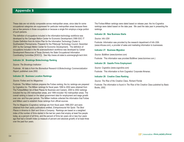These data are not strictly comparable across metropolitan areas, since data for some occupational categories are suppressed for particular metropolitan areas because there are so few persons in those occupations or because a single firm employs a large portion of such persons.

The definition of occupations included in the information-technology workforce was developed by the Carnegie Mellon Center for Economic Development (1999 SOC IT Cluster Definition from An Action Plan for the Information Technology Cluster in Southwestern Pennsylvania, Prepared for the Pittsburgh Technology Council, December 2001 by the Carnegie Mellon Center for Economic Development). The definition of occupations included in the life sciences/biotech workforce was developed by Career Development Resources of Texas (formerly the State Occupational Information Coordinating Committee [SOICC]). See http://www.cdr.state.tx.us/emerging/b-tech.html.

#### **Indicator 24: Brookings Biotechnology Ranking**

#### *Source: The Brookings Institution*

Footnote: All data is from the *Biomedical Research & Biotechnology Commercialization Report*, published June 2002.

#### **Indicator 25: Business Location Rankings**

#### *Source: Forbes and Inc Magazines*

Footnote: The Milken Institute prepares the Forbes ranking; the Inc rankings are prepared by Cognetics Inc. The Milken rankings for fiscal years 1999 to 2002 were obtained from The Forbes/Milken list of Best Places for Business and Careers. 2000 to 2002 rankings included the top 200 metropolitan areas, and 1999 included 162 metropolitan areas. The overall ranking is based on the latest government data for employment and wage growth over one- and five-year periods. The Milken Institute collected the information that Forbes and Milken used to establish these rankings from official sources.

The Inc Magazine (Cognetics) rankings are from fiscal years 1996-2001 and were obtained from their yearly publications entitled, *Entrepreneurial Hot Spots: The Best Places in America to Start and Grow a Company.* Rankings are based on a weighted index of the number of firms started in the last ten years that employ at least five people today, as a percent of all firms, and the percent of firms ten years old or less four years ago that had a Growth Index (a measure of percent and absolute growth) of at least three over the past four years.

The Forbes-Milken rankings were dated based on release year; the Inc-Cognetics rankings were dated based on the data year. We used the data year in presenting the rankings.

#### **Indicator 26: New Business Starts**

#### *Source: Info USA*

Footnote: Information was provided by the research department of Info USA (www.infousa.com), a provider of sales and marketing information to businesses.

#### **Indicator 27: Business Migration**

*Source: BizMiner (www.bizminer.com)*

Footnote: This information was provided BizMiner (www.bizminer.com.)

#### **Indicator 28: Gazelle Firms Employment**

*Source: Cognetics (www.cogonline.com)*

Footnote: This information is from Cognetics' Corporate Almanac.

#### **Indicator 29: Creative Class Ranking**

*Source: The Rise of the Creative Class, Richard Florida* 

Footnote: The information is found in *The Rise of the Creative Class* pubished by Basic Books, 2002.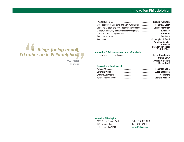#### **Innovation Philadelphia**

| <b>Richard A. Bendis</b><br><b>Richard A. Miller</b><br><b>Christopher Starr</b><br><b>Kelly Lee</b>                          | Vice President of Marketing and Communications<br>Managing Director and Vice President, Investments<br>Director, Community and Economic Development |
|-------------------------------------------------------------------------------------------------------------------------------|-----------------------------------------------------------------------------------------------------------------------------------------------------|
| <b>Bart Mroz</b>                                                                                                              | Manager of Technology Innovation                                                                                                                    |
| Ann Ivory                                                                                                                     |                                                                                                                                                     |
| <b>Christopher J. Fried</b><br><b>Dorothee Mercier</b><br><b>J.B Stine III</b><br><b>Brandon Von Tobel</b><br>Scott A. Zilber |                                                                                                                                                     |
|                                                                                                                               | <b>Innovation &amp; Entrepreneurial Index Contributors</b>                                                                                          |
| David Thornburgh<br><b>Steven Wray</b>                                                                                        |                                                                                                                                                     |
| <b>Annette Goldberg</b><br><b>Robert Graff</b>                                                                                |                                                                                                                                                     |
|                                                                                                                               | <b>Research and Development</b>                                                                                                                     |
| Richard M. Stein                                                                                                              |                                                                                                                                                     |
| <b>Susan Stapleton</b>                                                                                                        |                                                                                                                                                     |
| <b>KT Ferrera</b>                                                                                                             |                                                                                                                                                     |
| <b>Michelle Kenney</b>                                                                                                        |                                                                                                                                                     |



**W.C. Fields**Humorist

#### **Innovation Philadelphia**

2600 Centre Square West Tele: (215) 496-8110 1500 Market Street Fax: (215) 320-1991 Philadelphia, PA 19102 **www.IPphila.com**